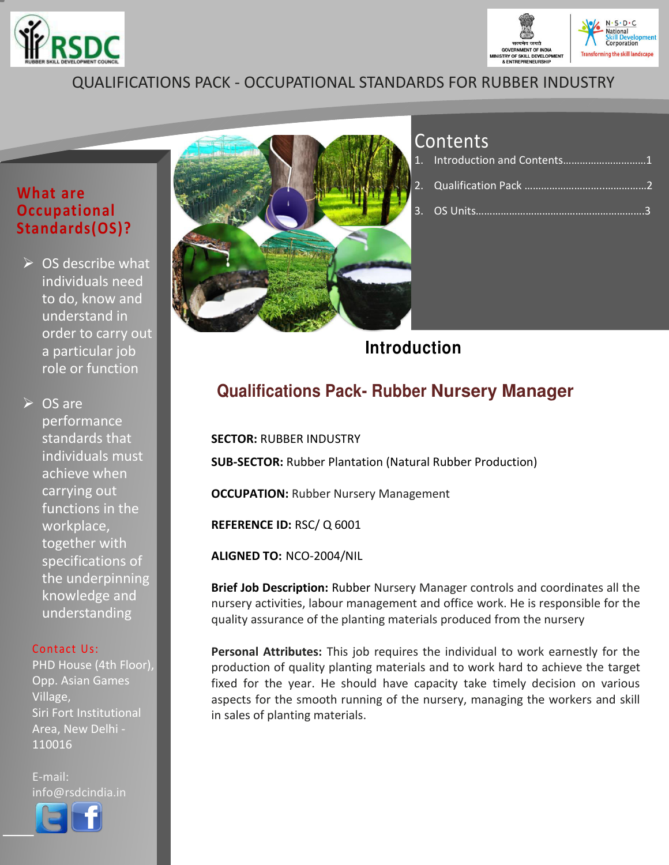



### QUALIFICATIONS PACK - OCCUPATIONAL STANDARDS FOR RUBBER INDUSTRY

#### **What are Occupational Standards(OS)?**

 $\triangleright$  OS describe what individuals need to do, know and understand in order to carry out a particular job role or function

 $\triangleright$  OS are performance standards that individuals must achieve when carrying out functions in the workplace, together with specifications of the underpinning knowledge and understanding

#### Contact Us:

PHD House (4th Floor), Opp. Asian Games Village, Siri Fort Institutional Area, New Delhi - 110016

E-mail: info@rsdcindia.in



l Ī



## Contents

| 1. Introduction and Contents1 |  |
|-------------------------------|--|
|                               |  |
|                               |  |

## **Introduction**

## **Qualifications Pack- Rubber Nursery Manager**

**SECTOR:** RUBBER INDUSTRY **SUB-SECTOR:** Rubber Plantation (Natural Rubber Production) **OCCUPATION: Rubber Nursery Management REFERENCE ID:** RSC/ Q 6001

**ALIGNED TO:** NCO-2004/NIL

**Brief Job Description:** Rubber Nursery Manager controls and coordinates all the nursery activities, labour management and office work. He is responsible for the quality assurance of the planting materials produced from the nursery

**Personal Attributes:** This job requires the individual to work earnestly for the production of quality planting materials and to work hard to achieve the target fixed for the year. He should have capacity take timely decision on various aspects for the smooth running of the nursery, managing the workers and skill in sales of planting materials.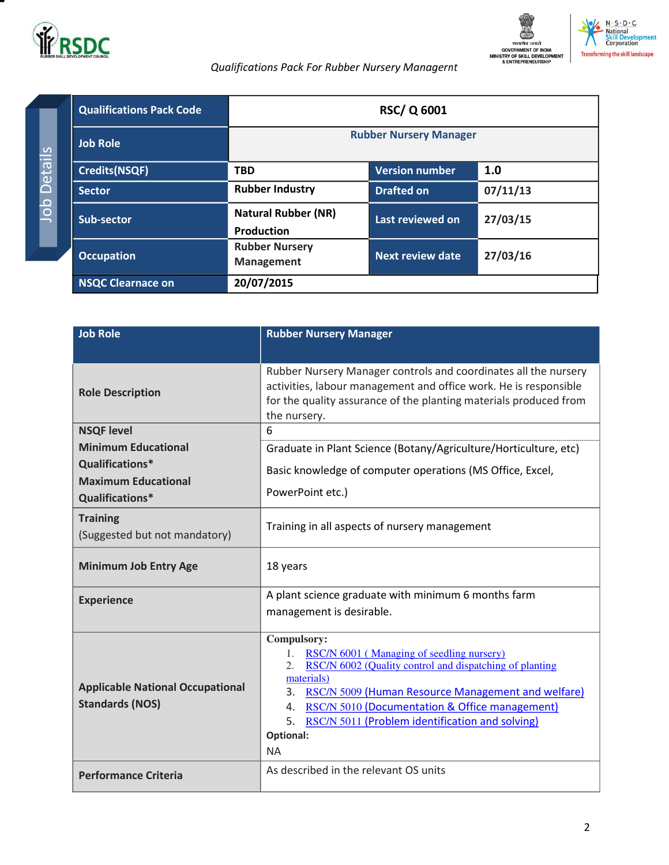

Job Details

Job Details





#### *Qualifications Pack For Rubber Nursery Managernt*

<span id="page-1-0"></span>

| <b>Qualifications Pack Code</b> | <b>RSC/Q 6001</b>                               |                               |          |
|---------------------------------|-------------------------------------------------|-------------------------------|----------|
| <b>Job Role</b>                 |                                                 | <b>Rubber Nursery Manager</b> |          |
| <b>Credits(NSQF)</b>            | <b>TBD</b>                                      | <b>Version number</b>         | 1.0      |
| <b>Sector</b>                   | <b>Rubber Industry</b>                          | <b>Drafted on</b>             | 07/11/13 |
| Sub-sector                      | <b>Natural Rubber (NR)</b><br><b>Production</b> | Last reviewed on              | 27/03/15 |
| <b>Occupation</b>               | <b>Rubber Nursery</b><br><b>Management</b>      | Next review date              | 27/03/16 |
| <b>NSQC Clearnace on</b>        | 20/07/2015                                      |                               |          |

| <b>Job Role</b>                                                   | <b>Rubber Nursery Manager</b>                                                                                                                                                                                                                                                                                                                     |
|-------------------------------------------------------------------|---------------------------------------------------------------------------------------------------------------------------------------------------------------------------------------------------------------------------------------------------------------------------------------------------------------------------------------------------|
| <b>Role Description</b>                                           | Rubber Nursery Manager controls and coordinates all the nursery<br>activities, labour management and office work. He is responsible<br>for the quality assurance of the planting materials produced from<br>the nursery.                                                                                                                          |
| <b>NSQF level</b>                                                 | 6                                                                                                                                                                                                                                                                                                                                                 |
| <b>Minimum Educational</b>                                        | Graduate in Plant Science (Botany/Agriculture/Horticulture, etc)                                                                                                                                                                                                                                                                                  |
| Qualifications*                                                   | Basic knowledge of computer operations (MS Office, Excel,                                                                                                                                                                                                                                                                                         |
| <b>Maximum Educational</b><br>Qualifications*                     | PowerPoint etc.)                                                                                                                                                                                                                                                                                                                                  |
| <b>Training</b><br>(Suggested but not mandatory)                  | Training in all aspects of nursery management                                                                                                                                                                                                                                                                                                     |
| <b>Minimum Job Entry Age</b>                                      | 18 years                                                                                                                                                                                                                                                                                                                                          |
| <b>Experience</b>                                                 | A plant science graduate with minimum 6 months farm                                                                                                                                                                                                                                                                                               |
|                                                                   | management is desirable.                                                                                                                                                                                                                                                                                                                          |
| <b>Applicable National Occupational</b><br><b>Standards (NOS)</b> | Compulsory:<br>RSC/N 6001 (Managing of seedling nursery)<br>1.<br>RSC/N 6002 (Quality control and dispatching of planting<br>2.<br>materials)<br>RSC/N 5009 (Human Resource Management and welfare)<br>3.<br>4. RSC/N 5010 (Documentation & Office management)<br>RSC/N 5011 (Problem identification and solving)<br>5.<br>Optional:<br><b>NA</b> |
| <b>Performance Criteria</b>                                       | As described in the relevant OS units                                                                                                                                                                                                                                                                                                             |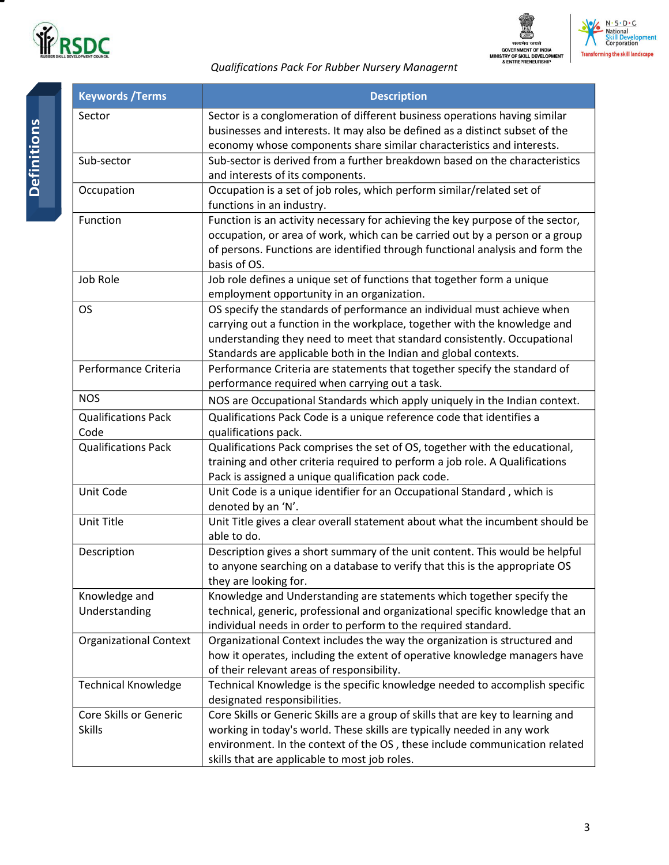





| <b>Keywords / Terms</b>       | <b>Description</b>                                                               |
|-------------------------------|----------------------------------------------------------------------------------|
| Sector                        | Sector is a conglomeration of different business operations having similar       |
|                               | businesses and interests. It may also be defined as a distinct subset of the     |
|                               | economy whose components share similar characteristics and interests.            |
| Sub-sector                    | Sub-sector is derived from a further breakdown based on the characteristics      |
|                               | and interests of its components.                                                 |
| Occupation                    | Occupation is a set of job roles, which perform similar/related set of           |
|                               | functions in an industry.                                                        |
| Function                      | Function is an activity necessary for achieving the key purpose of the sector,   |
|                               | occupation, or area of work, which can be carried out by a person or a group     |
|                               | of persons. Functions are identified through functional analysis and form the    |
|                               | basis of OS.                                                                     |
| Job Role                      | Job role defines a unique set of functions that together form a unique           |
|                               | employment opportunity in an organization.                                       |
| <b>OS</b>                     | OS specify the standards of performance an individual must achieve when          |
|                               | carrying out a function in the workplace, together with the knowledge and        |
|                               | understanding they need to meet that standard consistently. Occupational         |
|                               | Standards are applicable both in the Indian and global contexts.                 |
| Performance Criteria          | Performance Criteria are statements that together specify the standard of        |
|                               | performance required when carrying out a task.                                   |
| <b>NOS</b>                    | NOS are Occupational Standards which apply uniquely in the Indian context.       |
| <b>Qualifications Pack</b>    | Qualifications Pack Code is a unique reference code that identifies a            |
| Code                          | qualifications pack.                                                             |
| <b>Qualifications Pack</b>    | Qualifications Pack comprises the set of OS, together with the educational,      |
|                               | training and other criteria required to perform a job role. A Qualifications     |
|                               | Pack is assigned a unique qualification pack code.                               |
| Unit Code                     | Unit Code is a unique identifier for an Occupational Standard, which is          |
|                               | denoted by an 'N'.                                                               |
| Unit Title                    | Unit Title gives a clear overall statement about what the incumbent should be    |
|                               | able to do.                                                                      |
| Description                   | Description gives a short summary of the unit content. This would be helpful     |
|                               | to anyone searching on a database to verify that this is the appropriate OS      |
|                               | they are looking for.                                                            |
| Knowledge and                 | Knowledge and Understanding are statements which together specify the            |
| Understanding                 | technical, generic, professional and organizational specific knowledge that an   |
|                               | individual needs in order to perform to the required standard.                   |
| <b>Organizational Context</b> | Organizational Context includes the way the organization is structured and       |
|                               | how it operates, including the extent of operative knowledge managers have       |
|                               | of their relevant areas of responsibility.                                       |
| <b>Technical Knowledge</b>    | Technical Knowledge is the specific knowledge needed to accomplish specific      |
|                               | designated responsibilities.                                                     |
| Core Skills or Generic        | Core Skills or Generic Skills are a group of skills that are key to learning and |
| <b>Skills</b>                 | working in today's world. These skills are typically needed in any work          |
|                               | environment. In the context of the OS, these include communication related       |
|                               | skills that are applicable to most job roles.                                    |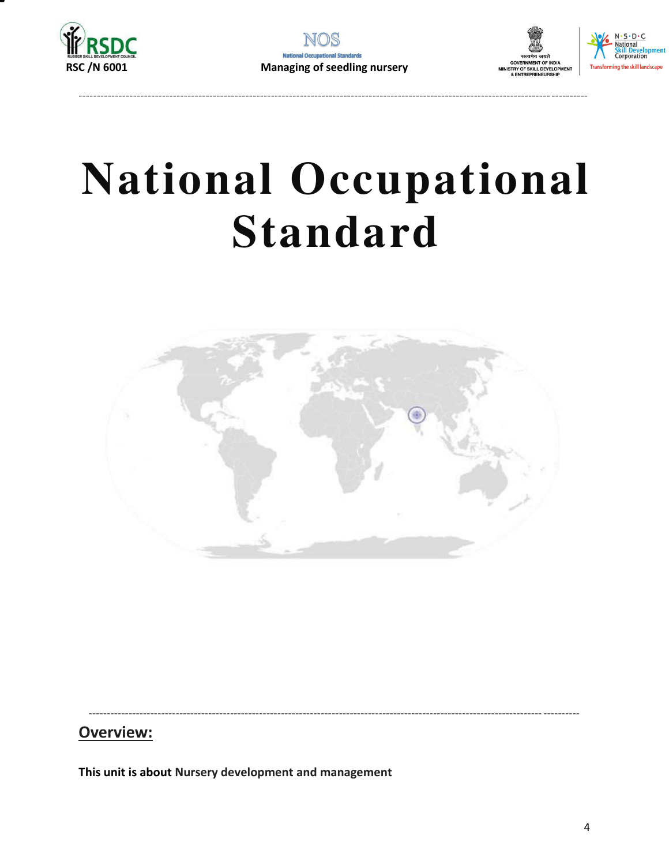







## **National Occupational Standard**



Overview:

<span id="page-3-0"></span>This unit is about Nursery development and management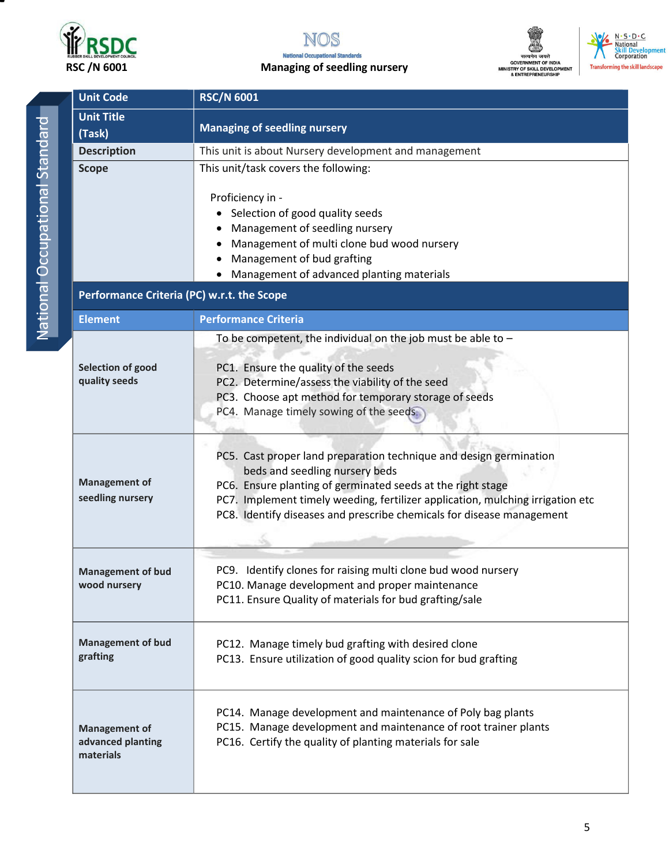



#### RSC /N 6001 Managing of seedling nursery





| <b>Unit Code</b>                           | <b>RSC/N 6001</b>                                                                                    |  |  |
|--------------------------------------------|------------------------------------------------------------------------------------------------------|--|--|
| <b>Unit Title</b>                          |                                                                                                      |  |  |
| (Task)                                     | <b>Managing of seedling nursery</b>                                                                  |  |  |
| <b>Description</b>                         | This unit is about Nursery development and management                                                |  |  |
| <b>Scope</b>                               | This unit/task covers the following:                                                                 |  |  |
|                                            |                                                                                                      |  |  |
|                                            | Proficiency in -                                                                                     |  |  |
|                                            | • Selection of good quality seeds<br>Management of seedling nursery                                  |  |  |
|                                            | Management of multi clone bud wood nursery                                                           |  |  |
|                                            | Management of bud grafting                                                                           |  |  |
|                                            | Management of advanced planting materials                                                            |  |  |
| Performance Criteria (PC) w.r.t. the Scope |                                                                                                      |  |  |
| <b>Element</b>                             | <b>Performance Criteria</b>                                                                          |  |  |
|                                            |                                                                                                      |  |  |
|                                            | To be competent, the individual on the job must be able to $-$                                       |  |  |
| Selection of good                          | PC1. Ensure the quality of the seeds                                                                 |  |  |
| quality seeds                              | PC2. Determine/assess the viability of the seed                                                      |  |  |
|                                            | PC3. Choose apt method for temporary storage of seeds                                                |  |  |
|                                            | PC4. Manage timely sowing of the seeds.                                                              |  |  |
|                                            |                                                                                                      |  |  |
|                                            |                                                                                                      |  |  |
|                                            | PC5. Cast proper land preparation technique and design germination<br>beds and seedling nursery beds |  |  |
| <b>Management of</b>                       | PC6. Ensure planting of germinated seeds at the right stage                                          |  |  |
| seedling nursery                           | PC7. Implement timely weeding, fertilizer application, mulching irrigation etc                       |  |  |
|                                            | PC8. Identify diseases and prescribe chemicals for disease management                                |  |  |
|                                            |                                                                                                      |  |  |
|                                            |                                                                                                      |  |  |
| <b>Management of bud</b>                   | PC9. Identify clones for raising multi clone bud wood nursery                                        |  |  |
| wood nursery                               | PC10. Manage development and proper maintenance                                                      |  |  |
|                                            | PC11. Ensure Quality of materials for bud grafting/sale                                              |  |  |
|                                            |                                                                                                      |  |  |
| <b>Management of bud</b>                   | PC12. Manage timely bud grafting with desired clone                                                  |  |  |
| grafting                                   | PC13. Ensure utilization of good quality scion for bud grafting                                      |  |  |
|                                            |                                                                                                      |  |  |
|                                            | PC14. Manage development and maintenance of Poly bag plants                                          |  |  |
| <b>Management of</b>                       | PC15. Manage development and maintenance of root trainer plants                                      |  |  |
| advanced planting                          | PC16. Certify the quality of planting materials for sale                                             |  |  |
| materials                                  |                                                                                                      |  |  |
|                                            |                                                                                                      |  |  |
|                                            |                                                                                                      |  |  |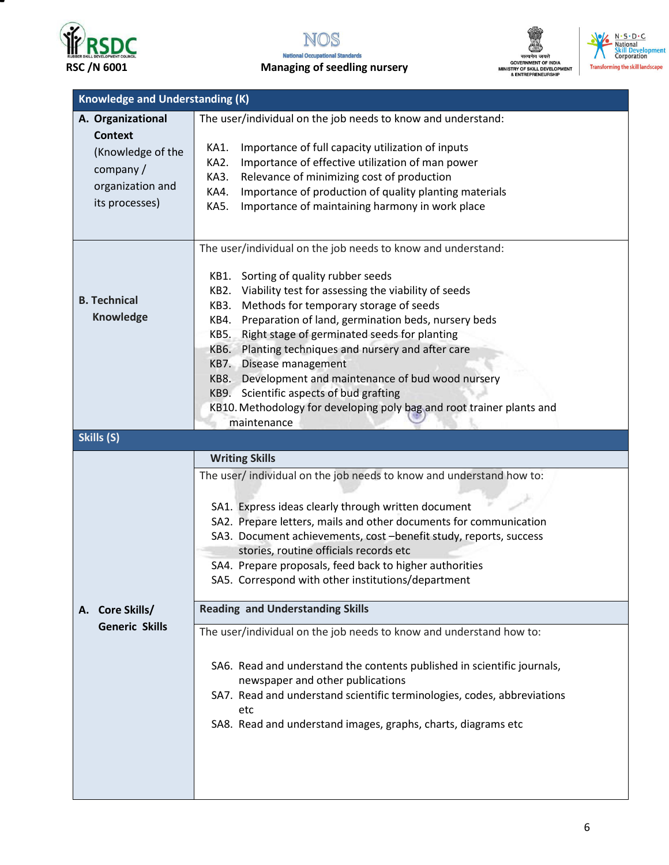







| <b>SKIII Developm</b><br>Corporation   |
|----------------------------------------|
| <b>Transforming the skill landscay</b> |

| <b>Knowledge and Understanding (K)</b>                                            |                                                                         |  |  |  |
|-----------------------------------------------------------------------------------|-------------------------------------------------------------------------|--|--|--|
| The user/individual on the job needs to know and understand:<br>A. Organizational |                                                                         |  |  |  |
| <b>Context</b>                                                                    |                                                                         |  |  |  |
| (Knowledge of the                                                                 | Importance of full capacity utilization of inputs<br>KA1.               |  |  |  |
|                                                                                   | Importance of effective utilization of man power<br>KA2.                |  |  |  |
| company $/$                                                                       | Relevance of minimizing cost of production<br>KA3.                      |  |  |  |
| organization and                                                                  | Importance of production of quality planting materials<br>KA4.          |  |  |  |
| its processes)                                                                    | Importance of maintaining harmony in work place<br><b>KA5.</b>          |  |  |  |
|                                                                                   |                                                                         |  |  |  |
|                                                                                   |                                                                         |  |  |  |
|                                                                                   | The user/individual on the job needs to know and understand:            |  |  |  |
|                                                                                   |                                                                         |  |  |  |
|                                                                                   | KB1. Sorting of quality rubber seeds                                    |  |  |  |
|                                                                                   | Viability test for assessing the viability of seeds<br>KB2.             |  |  |  |
| <b>B.</b> Technical                                                               | Methods for temporary storage of seeds<br>KB3.                          |  |  |  |
| <b>Knowledge</b>                                                                  | Preparation of land, germination beds, nursery beds<br>KB4.             |  |  |  |
|                                                                                   | Right stage of germinated seeds for planting<br>KB5.                    |  |  |  |
|                                                                                   | Planting techniques and nursery and after care<br>KB6.                  |  |  |  |
|                                                                                   | KB7. Disease management                                                 |  |  |  |
|                                                                                   | KB8. Development and maintenance of bud wood nursery                    |  |  |  |
|                                                                                   | KB9. Scientific aspects of bud grafting                                 |  |  |  |
|                                                                                   | KB10. Methodology for developing poly bag and root trainer plants and   |  |  |  |
|                                                                                   | maintenance                                                             |  |  |  |
| Skills (S)                                                                        |                                                                         |  |  |  |
|                                                                                   | <b>Writing Skills</b>                                                   |  |  |  |
|                                                                                   |                                                                         |  |  |  |
|                                                                                   | The user/ individual on the job needs to know and understand how to:    |  |  |  |
|                                                                                   |                                                                         |  |  |  |
|                                                                                   | SA1. Express ideas clearly through written document                     |  |  |  |
|                                                                                   | SA2. Prepare letters, mails and other documents for communication       |  |  |  |
|                                                                                   | SA3. Document achievements, cost -benefit study, reports, success       |  |  |  |
|                                                                                   | stories, routine officials records etc                                  |  |  |  |
|                                                                                   | SA4. Prepare proposals, feed back to higher authorities                 |  |  |  |
|                                                                                   | SA5. Correspond with other institutions/department                      |  |  |  |
|                                                                                   | <b>Reading and Understanding Skills</b>                                 |  |  |  |
| A. Core Skills/                                                                   |                                                                         |  |  |  |
| <b>Generic Skills</b>                                                             | The user/individual on the job needs to know and understand how to:     |  |  |  |
|                                                                                   |                                                                         |  |  |  |
|                                                                                   | SA6. Read and understand the contents published in scientific journals, |  |  |  |
|                                                                                   | newspaper and other publications                                        |  |  |  |
|                                                                                   | SA7. Read and understand scientific terminologies, codes, abbreviations |  |  |  |
|                                                                                   | etc                                                                     |  |  |  |
|                                                                                   | SA8. Read and understand images, graphs, charts, diagrams etc           |  |  |  |
|                                                                                   |                                                                         |  |  |  |
|                                                                                   |                                                                         |  |  |  |
|                                                                                   |                                                                         |  |  |  |
|                                                                                   |                                                                         |  |  |  |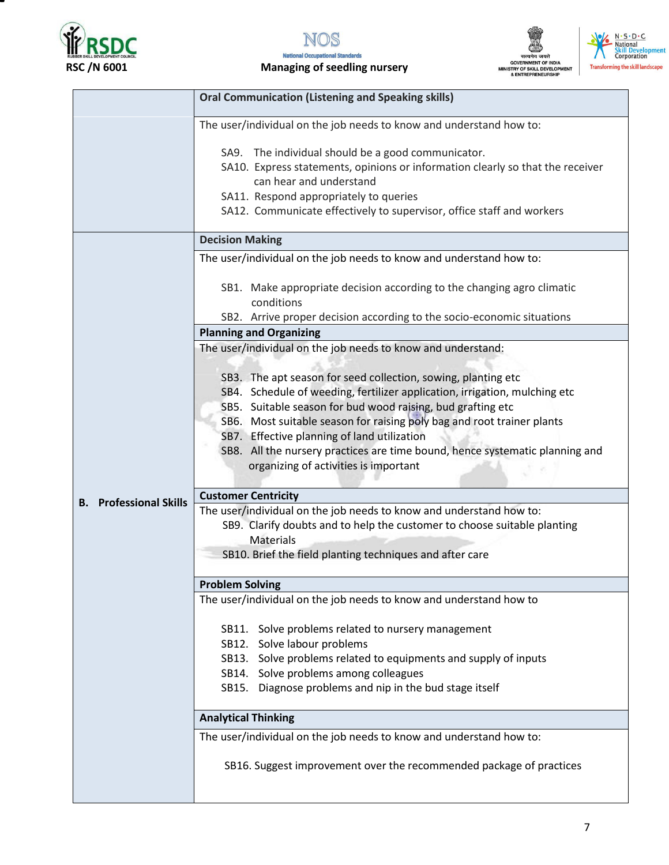



RSC /N 6001 Managing of seedling nursery





|                               | <b>Oral Communication (Listening and Speaking skills)</b>                                                                                                                                                                                                                          |  |  |
|-------------------------------|------------------------------------------------------------------------------------------------------------------------------------------------------------------------------------------------------------------------------------------------------------------------------------|--|--|
|                               | The user/individual on the job needs to know and understand how to:                                                                                                                                                                                                                |  |  |
|                               | SA9. The individual should be a good communicator.<br>SA10. Express statements, opinions or information clearly so that the receiver<br>can hear and understand<br>SA11. Respond appropriately to queries<br>SA12. Communicate effectively to supervisor, office staff and workers |  |  |
|                               | <b>Decision Making</b>                                                                                                                                                                                                                                                             |  |  |
|                               | The user/individual on the job needs to know and understand how to:                                                                                                                                                                                                                |  |  |
|                               | SB1. Make appropriate decision according to the changing agro climatic<br>conditions                                                                                                                                                                                               |  |  |
|                               | SB2. Arrive proper decision according to the socio-economic situations                                                                                                                                                                                                             |  |  |
|                               | <b>Planning and Organizing</b>                                                                                                                                                                                                                                                     |  |  |
|                               | The user/individual on the job needs to know and understand:                                                                                                                                                                                                                       |  |  |
|                               | SB3. The apt season for seed collection, sowing, planting etc                                                                                                                                                                                                                      |  |  |
|                               | SB4. Schedule of weeding, fertilizer application, irrigation, mulching etc                                                                                                                                                                                                         |  |  |
|                               | SB5. Suitable season for bud wood raising, bud grafting etc                                                                                                                                                                                                                        |  |  |
|                               | SB6. Most suitable season for raising poly bag and root trainer plants                                                                                                                                                                                                             |  |  |
|                               | SB7. Effective planning of land utilization                                                                                                                                                                                                                                        |  |  |
|                               | SB8. All the nursery practices are time bound, hence systematic planning and<br>organizing of activities is important                                                                                                                                                              |  |  |
|                               | <b>Customer Centricity</b>                                                                                                                                                                                                                                                         |  |  |
| <b>B.</b> Professional Skills | The user/individual on the job needs to know and understand how to:                                                                                                                                                                                                                |  |  |
|                               | SB9. Clarify doubts and to help the customer to choose suitable planting                                                                                                                                                                                                           |  |  |
|                               | <b>Materials</b>                                                                                                                                                                                                                                                                   |  |  |
|                               | SB10. Brief the field planting techniques and after care                                                                                                                                                                                                                           |  |  |
|                               |                                                                                                                                                                                                                                                                                    |  |  |
|                               | <b>Problem Solving</b>                                                                                                                                                                                                                                                             |  |  |
|                               | The user/individual on the job needs to know and understand how to                                                                                                                                                                                                                 |  |  |
|                               | SB11. Solve problems related to nursery management                                                                                                                                                                                                                                 |  |  |
|                               | SB12. Solve labour problems                                                                                                                                                                                                                                                        |  |  |
|                               | SB13. Solve problems related to equipments and supply of inputs                                                                                                                                                                                                                    |  |  |
|                               | SB14. Solve problems among colleagues                                                                                                                                                                                                                                              |  |  |
|                               | SB15. Diagnose problems and nip in the bud stage itself                                                                                                                                                                                                                            |  |  |
|                               | <b>Analytical Thinking</b>                                                                                                                                                                                                                                                         |  |  |
|                               |                                                                                                                                                                                                                                                                                    |  |  |
|                               | The user/individual on the job needs to know and understand how to:                                                                                                                                                                                                                |  |  |
|                               | SB16. Suggest improvement over the recommended package of practices                                                                                                                                                                                                                |  |  |
|                               |                                                                                                                                                                                                                                                                                    |  |  |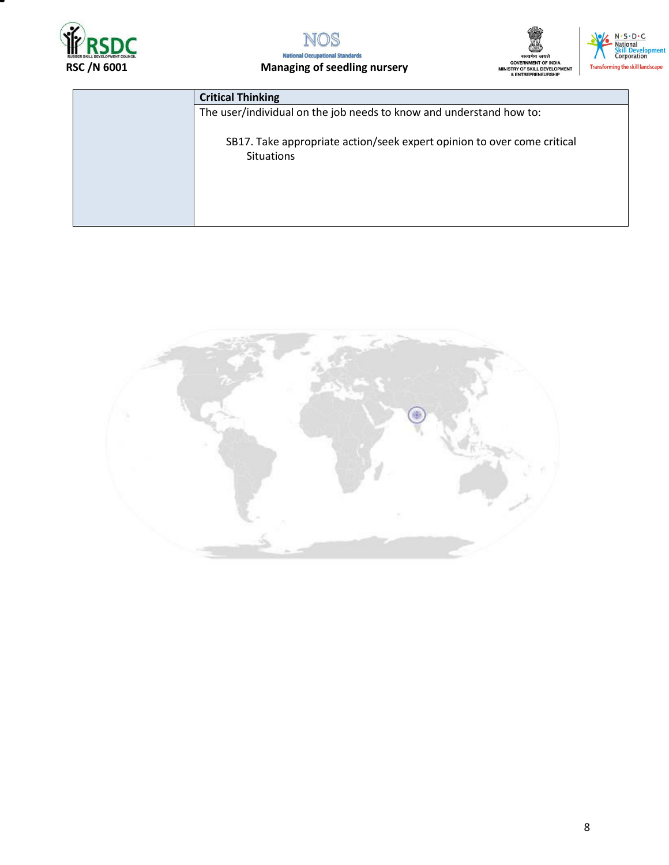



#### RSC /N 6001 Managing of seedling nursery





| <b>Critical Thinking</b>                                                                     |
|----------------------------------------------------------------------------------------------|
| The user/individual on the job needs to know and understand how to:                          |
| SB17. Take appropriate action/seek expert opinion to over come critical<br><b>Situations</b> |
|                                                                                              |

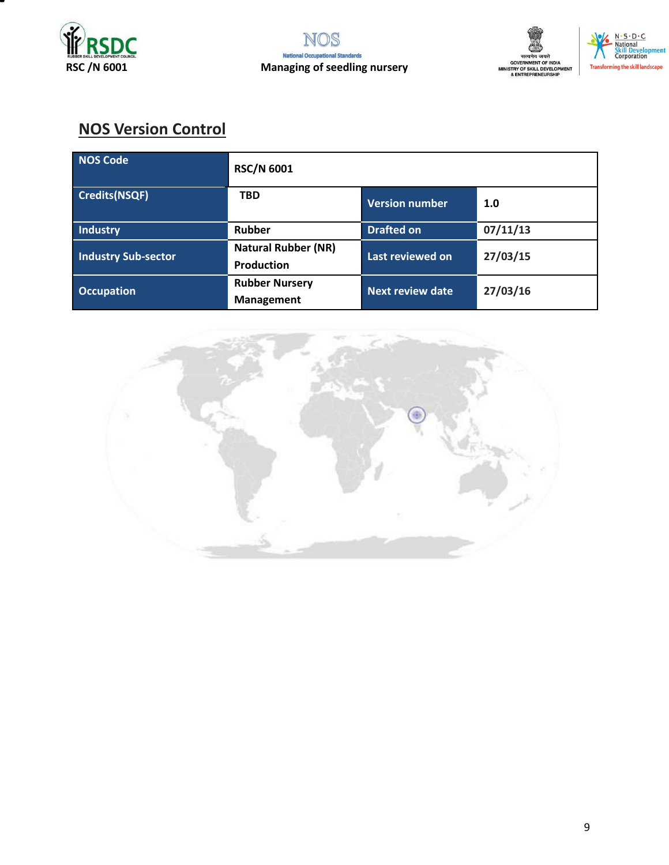







## **NOS Version Control**

| NOS Code                   | <b>RSC/N 6001</b>                               |                         |          |
|----------------------------|-------------------------------------------------|-------------------------|----------|
| Credits(NSQF)              | <b>TBD</b>                                      | <b>Version number</b>   | 1.0      |
| Industry                   | <b>Rubber</b>                                   | <b>Drafted on</b>       | 07/11/13 |
| <b>Industry Sub-sector</b> | <b>Natural Rubber (NR)</b><br><b>Production</b> | Last reviewed on        | 27/03/15 |
| <b>Occupation</b>          | <b>Rubber Nursery</b><br><b>Management</b>      | <b>Next review date</b> | 27/03/16 |

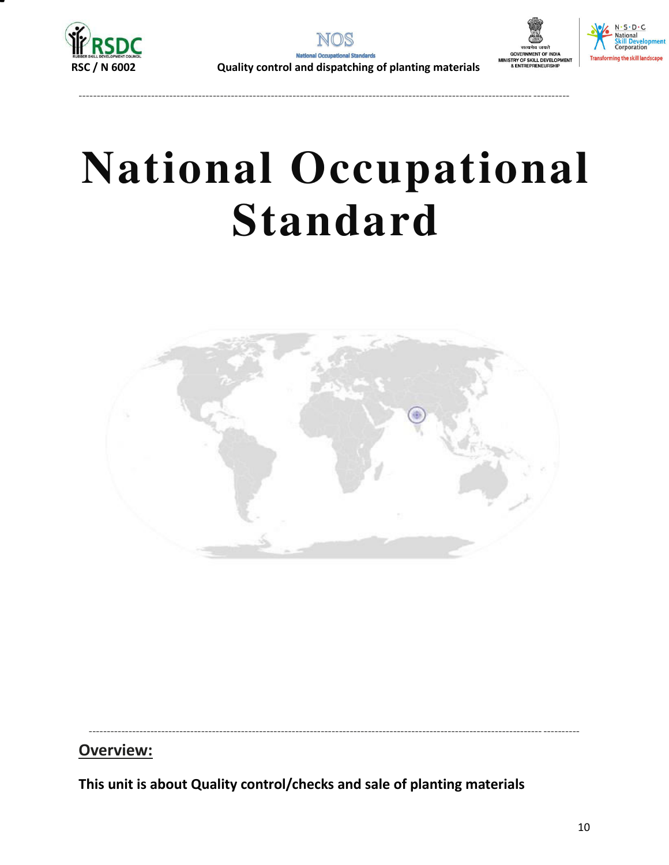





 **RSC / N 6002 Quality control and dispatching of planting materials**

----------------------------------------------------------------------------------------------------------------------------- ----------

# **National Occupational Standard**



----------------------------------------------------------------------------------------------------------------------------- ----------

**Overview:** 

<span id="page-9-0"></span>**This unit is about Quality control/checks and sale of planting materials**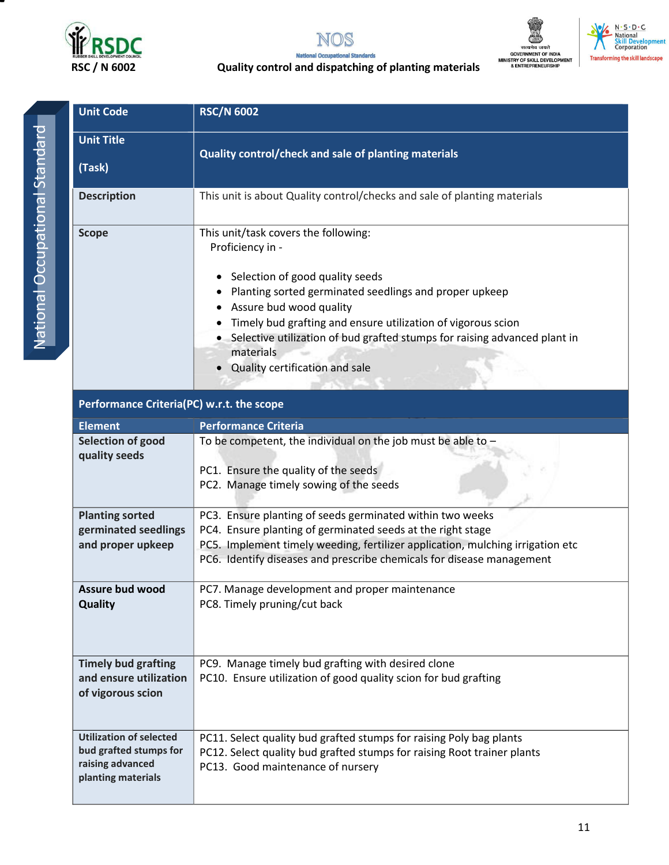

**Utilization of selected bud grafted stumps for raising advanced planting materials** 

**Unit Code RSC/N 6002**





#### $N \cdot S \cdot D \cdot C$ National<br>Skill Develo<br>Corporation **tent Transfo** rming the skill landscape

#### **RSC / N 6002 Quality control and dispatching of planting materials**

| <b>Unit Title</b><br>(Task)                                               | Quality control/check and sale of planting materials                                                                                                                                                                                                                                                                                                                                |  |  |
|---------------------------------------------------------------------------|-------------------------------------------------------------------------------------------------------------------------------------------------------------------------------------------------------------------------------------------------------------------------------------------------------------------------------------------------------------------------------------|--|--|
| <b>Description</b>                                                        | This unit is about Quality control/checks and sale of planting materials                                                                                                                                                                                                                                                                                                            |  |  |
| <b>Scope</b>                                                              | This unit/task covers the following:<br>Proficiency in -<br>Selection of good quality seeds<br>٠<br>Planting sorted germinated seedlings and proper upkeep<br>Assure bud wood quality<br>Timely bud grafting and ensure utilization of vigorous scion<br>• Selective utilization of bud grafted stumps for raising advanced plant in<br>materials<br>Quality certification and sale |  |  |
| Performance Criteria(PC) w.r.t. the scope                                 |                                                                                                                                                                                                                                                                                                                                                                                     |  |  |
| <b>Element</b>                                                            | <b>Performance Criteria</b>                                                                                                                                                                                                                                                                                                                                                         |  |  |
| Selection of good<br>quality seeds                                        | To be competent, the individual on the job must be able to $-$<br>PC1. Ensure the quality of the seeds<br>PC2. Manage timely sowing of the seeds                                                                                                                                                                                                                                    |  |  |
| <b>Planting sorted</b><br>germinated seedlings<br>and proper upkeep       | PC3. Ensure planting of seeds germinated within two weeks<br>PC4. Ensure planting of germinated seeds at the right stage<br>PC5. Implement timely weeding, fertilizer application, mulching irrigation etc<br>PC6. Identify diseases and prescribe chemicals for disease management                                                                                                 |  |  |
| <b>Assure bud wood</b><br><b>Quality</b>                                  | PC7. Manage development and proper maintenance<br>PC8. Timely pruning/cut back                                                                                                                                                                                                                                                                                                      |  |  |
| <b>Timely bud grafting</b><br>and ensure utilization<br>of vigorous scion | PC9. Manage timely bud grafting with desired clone<br>PC10. Ensure utilization of good quality scion for bud grafting                                                                                                                                                                                                                                                               |  |  |

PC11. Select quality bud grafted stumps for raising Poly bag plants PC12. Select quality bud grafted stumps for raising Root trainer plants

PC13. Good maintenance of nursery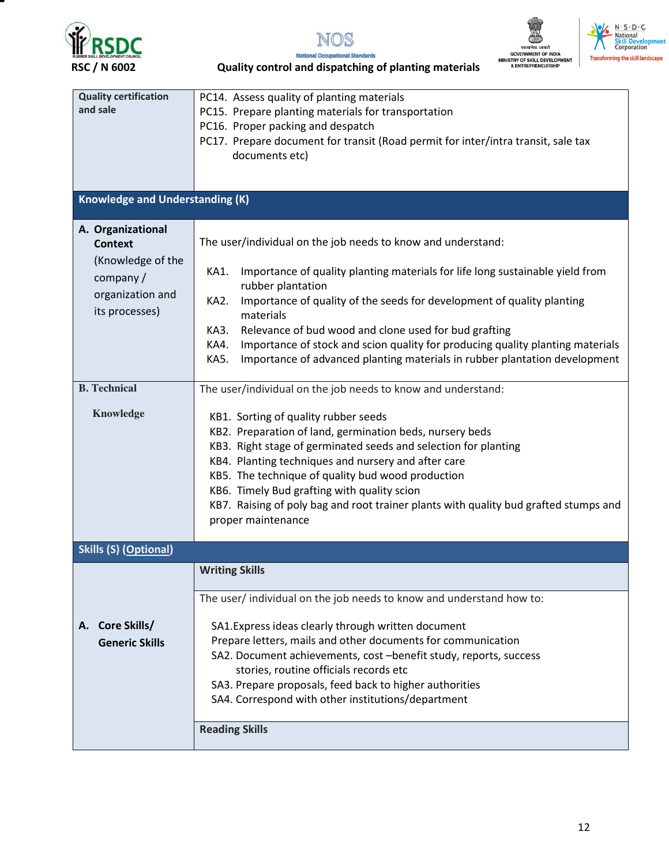

т







**National Occupational Standards RSC / N 6002 Quality control and dispatching of planting materials**

| <b>Quality certification</b><br>and sale                                                                                                       | PC14. Assess quality of planting materials<br>PC15. Prepare planting materials for transportation<br>PC16. Proper packing and despatch<br>PC17. Prepare document for transit (Road permit for inter/intra transit, sale tax<br>documents etc)                                                                                                                                                                                                                                                                                                                                                                                                                                                                                                                                                                                                                                                                                                                                                                                              |  |  |
|------------------------------------------------------------------------------------------------------------------------------------------------|--------------------------------------------------------------------------------------------------------------------------------------------------------------------------------------------------------------------------------------------------------------------------------------------------------------------------------------------------------------------------------------------------------------------------------------------------------------------------------------------------------------------------------------------------------------------------------------------------------------------------------------------------------------------------------------------------------------------------------------------------------------------------------------------------------------------------------------------------------------------------------------------------------------------------------------------------------------------------------------------------------------------------------------------|--|--|
| <b>Knowledge and Understanding (K)</b>                                                                                                         |                                                                                                                                                                                                                                                                                                                                                                                                                                                                                                                                                                                                                                                                                                                                                                                                                                                                                                                                                                                                                                            |  |  |
| A. Organizational<br><b>Context</b><br>(Knowledge of the<br>company/<br>organization and<br>its processes)<br><b>B.</b> Technical<br>Knowledge | The user/individual on the job needs to know and understand:<br>Importance of quality planting materials for life long sustainable yield from<br>KA1.<br>rubber plantation<br>Importance of quality of the seeds for development of quality planting<br>KA2.<br>materials<br>Relevance of bud wood and clone used for bud grafting<br>KA3.<br>Importance of stock and scion quality for producing quality planting materials<br>KA4.<br>Importance of advanced planting materials in rubber plantation development<br>KA5.<br>The user/individual on the job needs to know and understand:<br>KB1. Sorting of quality rubber seeds<br>KB2. Preparation of land, germination beds, nursery beds<br>KB3. Right stage of germinated seeds and selection for planting<br>KB4. Planting techniques and nursery and after care<br>KB5. The technique of quality bud wood production<br>KB6. Timely Bud grafting with quality scion<br>KB7. Raising of poly bag and root trainer plants with quality bud grafted stumps and<br>proper maintenance |  |  |
| <b>Skills (S) (Optional)</b>                                                                                                                   |                                                                                                                                                                                                                                                                                                                                                                                                                                                                                                                                                                                                                                                                                                                                                                                                                                                                                                                                                                                                                                            |  |  |
| A. Core Skills/<br><b>Generic Skills</b>                                                                                                       | <b>Writing Skills</b><br>The user/individual on the job needs to know and understand how to:<br>SA1. Express ideas clearly through written document<br>Prepare letters, mails and other documents for communication<br>SA2. Document achievements, cost -benefit study, reports, success<br>stories, routine officials records etc<br>SA3. Prepare proposals, feed back to higher authorities<br>SA4. Correspond with other institutions/department<br><b>Reading Skills</b>                                                                                                                                                                                                                                                                                                                                                                                                                                                                                                                                                               |  |  |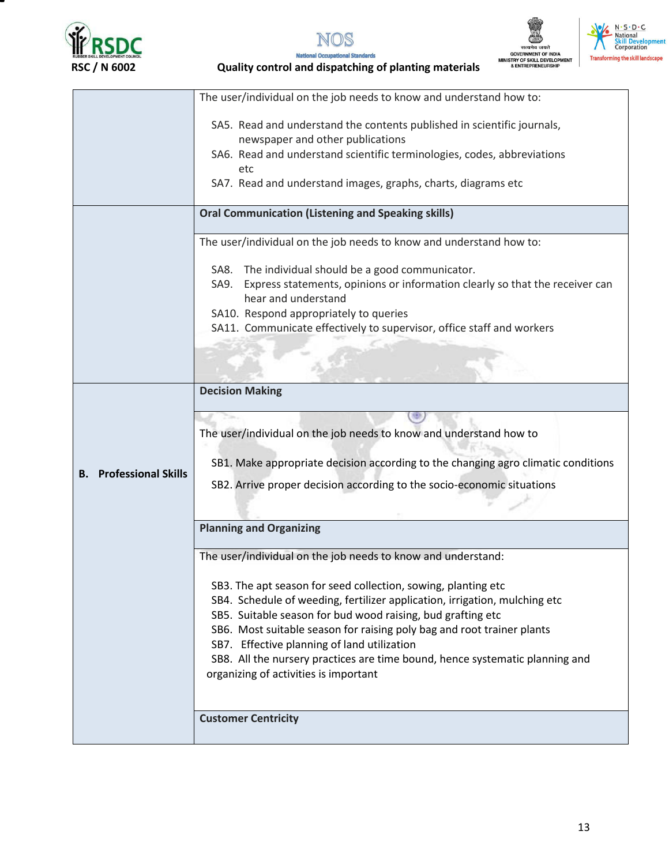







**National Occupational Standards** 

|                            | The user/individual on the job needs to know and understand how to:                  |
|----------------------------|--------------------------------------------------------------------------------------|
|                            |                                                                                      |
|                            | SA5. Read and understand the contents published in scientific journals,              |
|                            | newspaper and other publications                                                     |
|                            | SA6. Read and understand scientific terminologies, codes, abbreviations              |
|                            | etc                                                                                  |
|                            | SA7. Read and understand images, graphs, charts, diagrams etc                        |
|                            | <b>Oral Communication (Listening and Speaking skills)</b>                            |
|                            |                                                                                      |
|                            | The user/individual on the job needs to know and understand how to:                  |
|                            | The individual should be a good communicator.<br>SA8.                                |
|                            | Express statements, opinions or information clearly so that the receiver can<br>SA9. |
|                            | hear and understand                                                                  |
|                            | SA10. Respond appropriately to queries                                               |
|                            | SA11. Communicate effectively to supervisor, office staff and workers                |
|                            |                                                                                      |
|                            |                                                                                      |
|                            |                                                                                      |
|                            | <b>Decision Making</b>                                                               |
|                            |                                                                                      |
|                            |                                                                                      |
|                            | The user/individual on the job needs to know and understand how to                   |
|                            |                                                                                      |
| <b>Professional Skills</b> | SB1. Make appropriate decision according to the changing agro climatic conditions    |
| В.                         | SB2. Arrive proper decision according to the socio-economic situations               |
|                            |                                                                                      |
|                            |                                                                                      |
|                            | <b>Planning and Organizing</b>                                                       |
|                            | The user/individual on the job needs to know and understand:                         |
|                            |                                                                                      |
|                            | SB3. The apt season for seed collection, sowing, planting etc                        |
|                            | SB4. Schedule of weeding, fertilizer application, irrigation, mulching etc           |
|                            | SB5. Suitable season for bud wood raising, bud grafting etc                          |
|                            | SB6. Most suitable season for raising poly bag and root trainer plants               |
|                            | SB7. Effective planning of land utilization                                          |
|                            | SB8. All the nursery practices are time bound, hence systematic planning and         |
|                            | organizing of activities is important                                                |
|                            |                                                                                      |
|                            |                                                                                      |
|                            |                                                                                      |
|                            | <b>Customer Centricity</b>                                                           |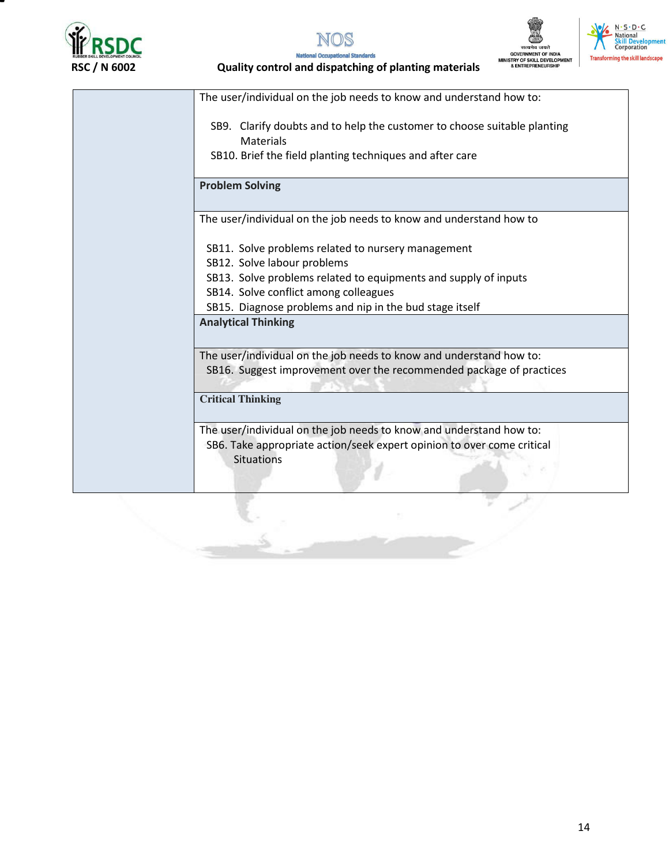







 **RSC / N 6002 Quality control and dispatching of planting materials**

The user/individual on the job needs to know and understand how to: SB9. Clarify doubts and to help the customer to choose suitable planting Materials SB10. Brief the field planting techniques and after care **Problem Solving**  The user/individual on the job needs to know and understand how to SB11. Solve problems related to nursery management SB12. Solve labour problems SB13. Solve problems related to equipments and supply of inputs SB14. Solve conflict among colleagues SB15. Diagnose problems and nip in the bud stage itself **Analytical Thinking**  The user/individual on the job needs to know and understand how to: SB16. Suggest improvement over the recommended package of practices **Critical Thinking**  The user/individual on the job needs to know and understand how to: SB6. Take appropriate action/seek expert opinion to over come critical **Situations**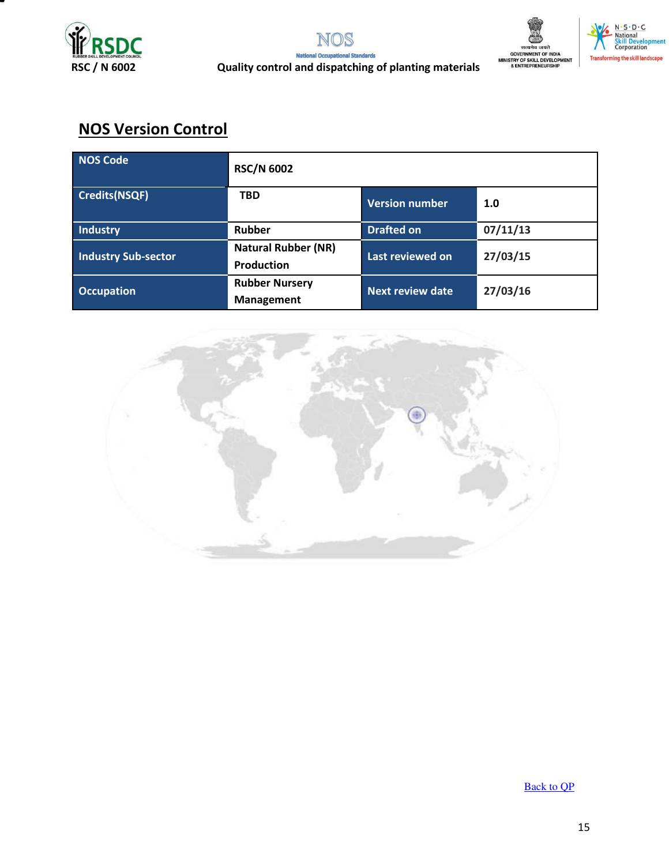



## **NOS Version Control**

| NOS Code                   | <b>RSC/N 6002</b>                               |                         |          |
|----------------------------|-------------------------------------------------|-------------------------|----------|
| Credits(NSQF)              | <b>TBD</b>                                      | <b>Version number</b>   | 1.0      |
| Industry                   | Rubber                                          | <b>Drafted on</b>       | 07/11/13 |
| <b>Industry Sub-sector</b> | <b>Natural Rubber (NR)</b><br><b>Production</b> | Last reviewed on        | 27/03/15 |
| <b>Occupation</b>          | <b>Rubber Nursery</b><br><b>Management</b>      | <b>Next review date</b> | 27/03/16 |



[Back to QP](#page-1-0)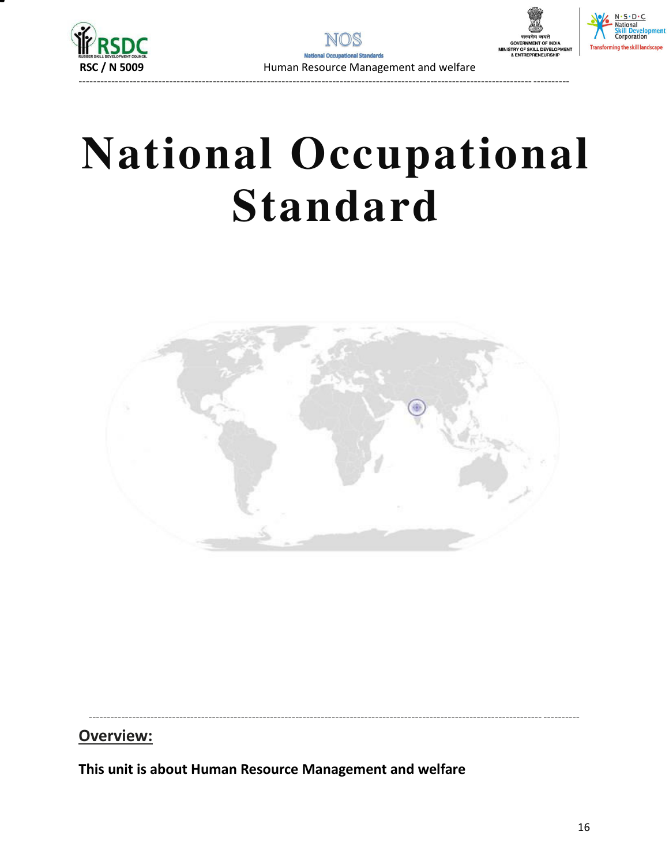



## **National Occupational Standard**



----------------------------------------------------------------------------------------------------------------------------- ----------

**Overview:** 

<span id="page-15-0"></span>**This unit is about Human Resource Management and welfare**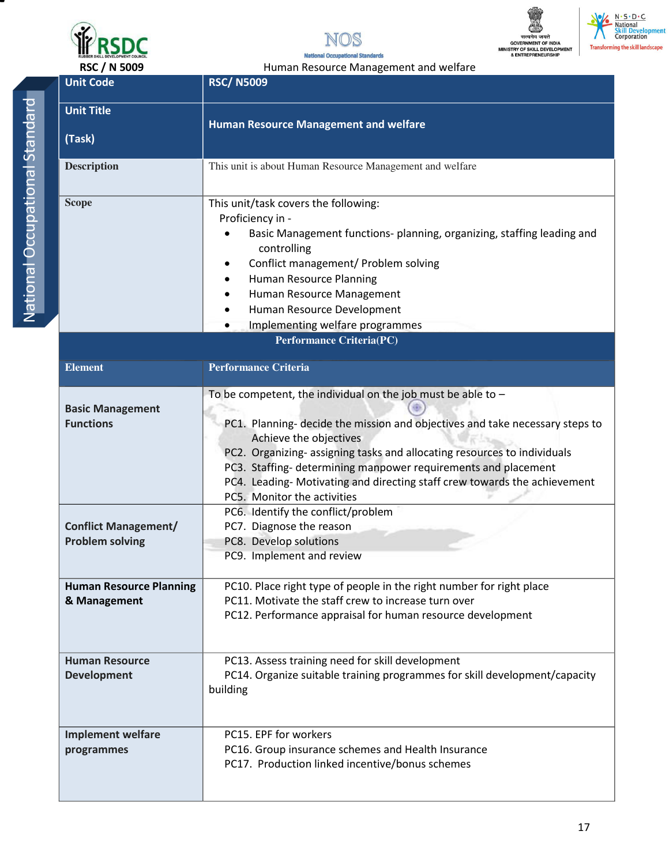







**National Occupational Standards** 

| ī |  |
|---|--|
|   |  |
|   |  |
| I |  |
|   |  |
| ï |  |
|   |  |
|   |  |
|   |  |
| l |  |
| I |  |
|   |  |
|   |  |
|   |  |
|   |  |
|   |  |
|   |  |
| I |  |
|   |  |
|   |  |
|   |  |
|   |  |
|   |  |
|   |  |
|   |  |
|   |  |
|   |  |
| ï |  |
|   |  |
|   |  |
|   |  |

| RSC / N 5009                                          | Human Resource Management and welfare                                                                                                                                                                                                                                                                                                                                                                                                                                    |  |  |
|-------------------------------------------------------|--------------------------------------------------------------------------------------------------------------------------------------------------------------------------------------------------------------------------------------------------------------------------------------------------------------------------------------------------------------------------------------------------------------------------------------------------------------------------|--|--|
| <b>Unit Code</b>                                      | <b>RSC/N5009</b>                                                                                                                                                                                                                                                                                                                                                                                                                                                         |  |  |
| <b>Unit Title</b>                                     | <b>Human Resource Management and welfare</b>                                                                                                                                                                                                                                                                                                                                                                                                                             |  |  |
| (Task)                                                |                                                                                                                                                                                                                                                                                                                                                                                                                                                                          |  |  |
| <b>Description</b>                                    | This unit is about Human Resource Management and welfare                                                                                                                                                                                                                                                                                                                                                                                                                 |  |  |
| <b>Scope</b>                                          | This unit/task covers the following:<br>Proficiency in -<br>Basic Management functions- planning, organizing, staffing leading and<br>controlling<br>Conflict management/ Problem solving<br><b>Human Resource Planning</b><br>Human Resource Management<br>Human Resource Development<br>Implementing welfare programmes                                                                                                                                                |  |  |
| Performance Criteria(PC)                              |                                                                                                                                                                                                                                                                                                                                                                                                                                                                          |  |  |
| <b>Element</b>                                        | <b>Performance Criteria</b>                                                                                                                                                                                                                                                                                                                                                                                                                                              |  |  |
| <b>Basic Management</b><br><b>Functions</b>           | To be competent, the individual on the job must be able to $-$<br>PC1. Planning- decide the mission and objectives and take necessary steps to<br>Achieve the objectives<br>PC2. Organizing- assigning tasks and allocating resources to individuals<br>PC3. Staffing- determining manpower requirements and placement<br>PC4. Leading- Motivating and directing staff crew towards the achievement<br>PC5. Monitor the activities<br>PC6. Identify the conflict/problem |  |  |
| <b>Conflict Management/</b><br><b>Problem solving</b> | PC7. Diagnose the reason<br>PC8. Develop solutions<br>PC9. Implement and review                                                                                                                                                                                                                                                                                                                                                                                          |  |  |
| <b>Human Resource Planning</b><br>& Management        | PC10. Place right type of people in the right number for right place<br>PC11. Motivate the staff crew to increase turn over<br>PC12. Performance appraisal for human resource development                                                                                                                                                                                                                                                                                |  |  |
| <b>Human Resource</b><br><b>Development</b>           | PC13. Assess training need for skill development<br>PC14. Organize suitable training programmes for skill development/capacity<br>building                                                                                                                                                                                                                                                                                                                               |  |  |
| <b>Implement welfare</b><br>programmes                | PC15. EPF for workers<br>PC16. Group insurance schemes and Health Insurance<br>PC17. Production linked incentive/bonus schemes                                                                                                                                                                                                                                                                                                                                           |  |  |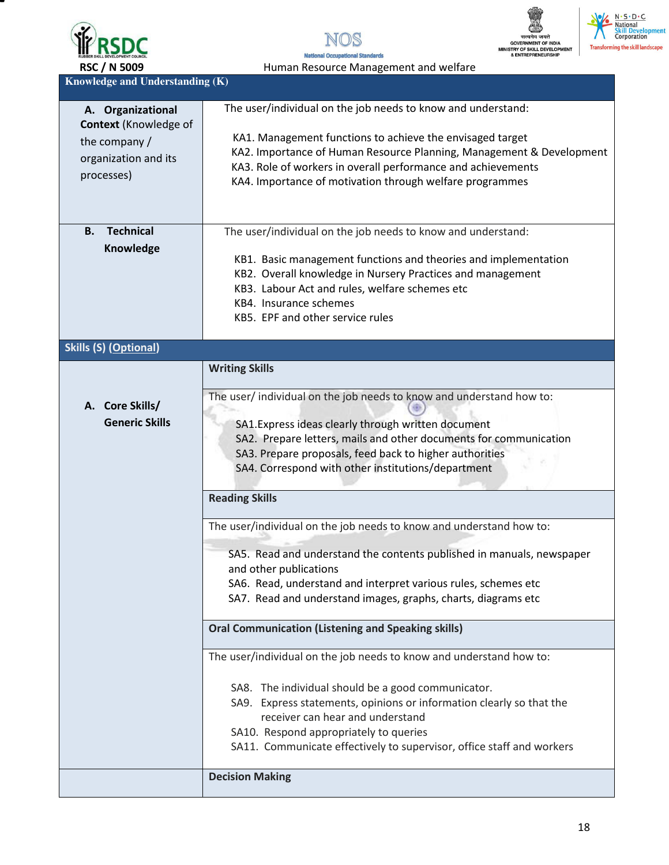

т





N. S. D. C.<br>National<br>Skill Development<br>Corporation

RSC / N 5009 **Human Resource Management and welfare** 

**Knowledge and Understanding (K)** 

| A. Organizational             | The user/individual on the job needs to know and understand:          |  |
|-------------------------------|-----------------------------------------------------------------------|--|
| Context (Knowledge of         |                                                                       |  |
| the company /                 | KA1. Management functions to achieve the envisaged target             |  |
|                               | KA2. Importance of Human Resource Planning, Management & Development  |  |
| organization and its          | KA3. Role of workers in overall performance and achievements          |  |
| processes)                    | KA4. Importance of motivation through welfare programmes              |  |
|                               |                                                                       |  |
|                               |                                                                       |  |
|                               |                                                                       |  |
| <b>Technical</b><br><b>B.</b> | The user/individual on the job needs to know and understand:          |  |
| Knowledge                     |                                                                       |  |
|                               | KB1. Basic management functions and theories and implementation       |  |
|                               | KB2. Overall knowledge in Nursery Practices and management            |  |
|                               | KB3. Labour Act and rules, welfare schemes etc                        |  |
|                               | KB4. Insurance schemes                                                |  |
|                               | KB5. EPF and other service rules                                      |  |
|                               |                                                                       |  |
| <b>Skills (S) (Optional)</b>  |                                                                       |  |
|                               | <b>Writing Skills</b>                                                 |  |
|                               |                                                                       |  |
|                               | The user/ individual on the job needs to know and understand how to:  |  |
| A. Core Skills/               |                                                                       |  |
| <b>Generic Skills</b>         | SA1. Express ideas clearly through written document                   |  |
|                               | SA2. Prepare letters, mails and other documents for communication     |  |
|                               | SA3. Prepare proposals, feed back to higher authorities               |  |
|                               | SA4. Correspond with other institutions/department                    |  |
|                               |                                                                       |  |
|                               | <b>Reading Skills</b>                                                 |  |
|                               | The user/individual on the job needs to know and understand how to:   |  |
|                               |                                                                       |  |
|                               | SA5. Read and understand the contents published in manuals, newspaper |  |
|                               | and other publications                                                |  |
|                               | SA6. Read, understand and interpret various rules, schemes etc        |  |
|                               | SA7. Read and understand images, graphs, charts, diagrams etc         |  |
|                               | <b>Oral Communication (Listening and Speaking skills)</b>             |  |
|                               |                                                                       |  |
|                               | The user/individual on the job needs to know and understand how to:   |  |
|                               |                                                                       |  |
|                               | SA8. The individual should be a good communicator.                    |  |
|                               | SA9. Express statements, opinions or information clearly so that the  |  |
|                               | receiver can hear and understand                                      |  |
|                               | SA10. Respond appropriately to queries                                |  |
|                               | SA11. Communicate effectively to supervisor, office staff and workers |  |
|                               |                                                                       |  |
|                               | <b>Decision Making</b>                                                |  |
|                               |                                                                       |  |
|                               |                                                                       |  |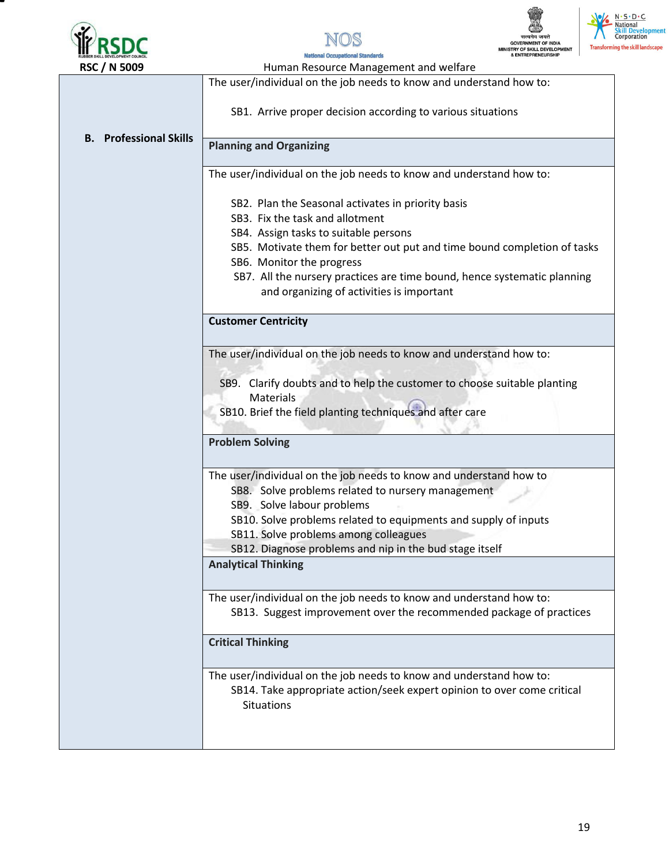





 $N \cdot S \cdot D \cdot C$ lational

ming the skill landscape

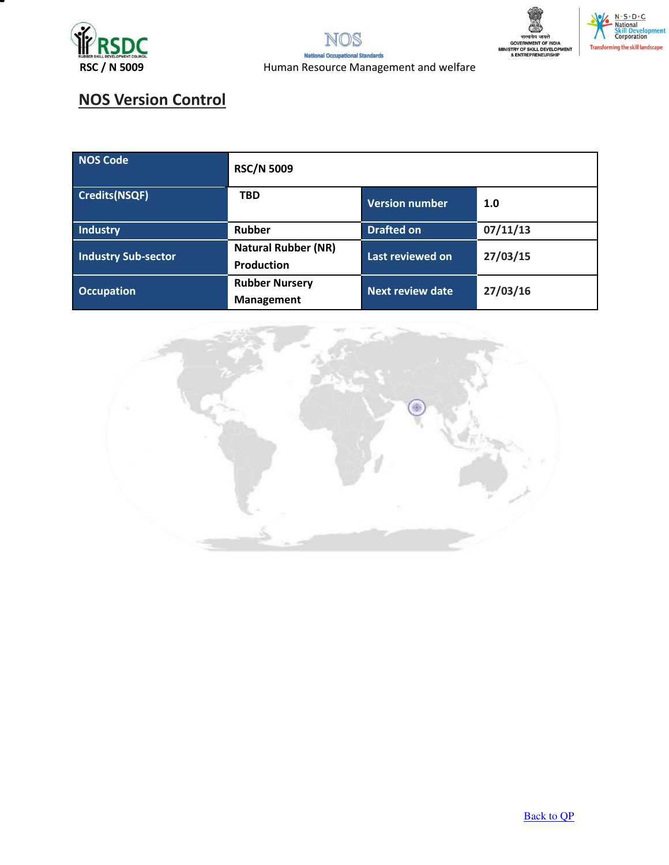



## **NOS Version Control**

| NOS Code                   | <b>RSC/N 5009</b>                               |                         |          |
|----------------------------|-------------------------------------------------|-------------------------|----------|
| Credits(NSQF)              | <b>TBD</b>                                      | <b>Version number</b>   | 1.0      |
| Industry                   | Rubber                                          | <b>Drafted on</b>       | 07/11/13 |
| <b>Industry Sub-sector</b> | <b>Natural Rubber (NR)</b><br><b>Production</b> | Last reviewed on        | 27/03/15 |
| <b>Occupation</b>          | <b>Rubber Nursery</b><br>Management             | <b>Next review date</b> | 27/03/16 |



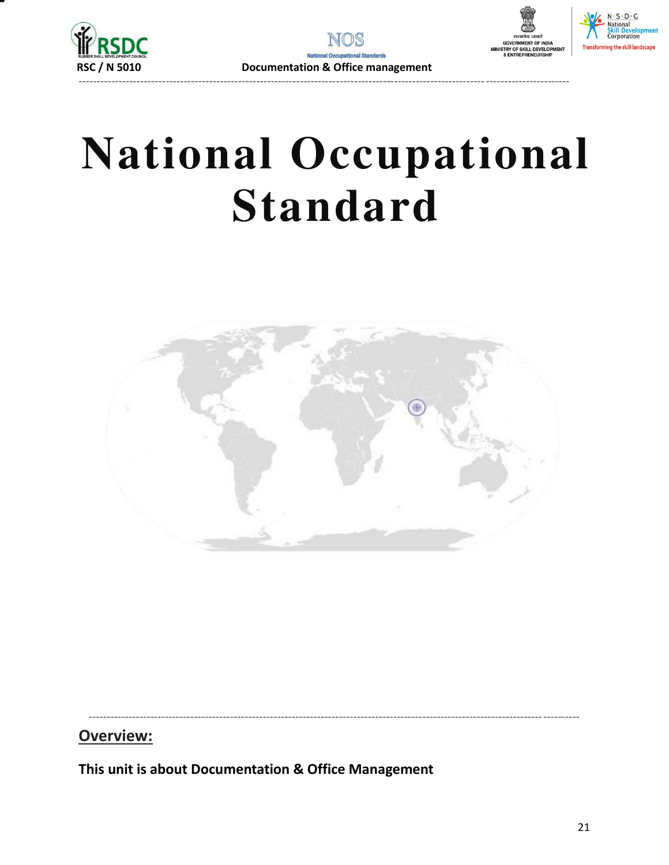





## **National Occupational Standard**



----------------------------------------------------------------------------------------------------------------------------- ----------

### **Overview:**

<span id="page-20-0"></span>**This unit is about Documentation & Office Management**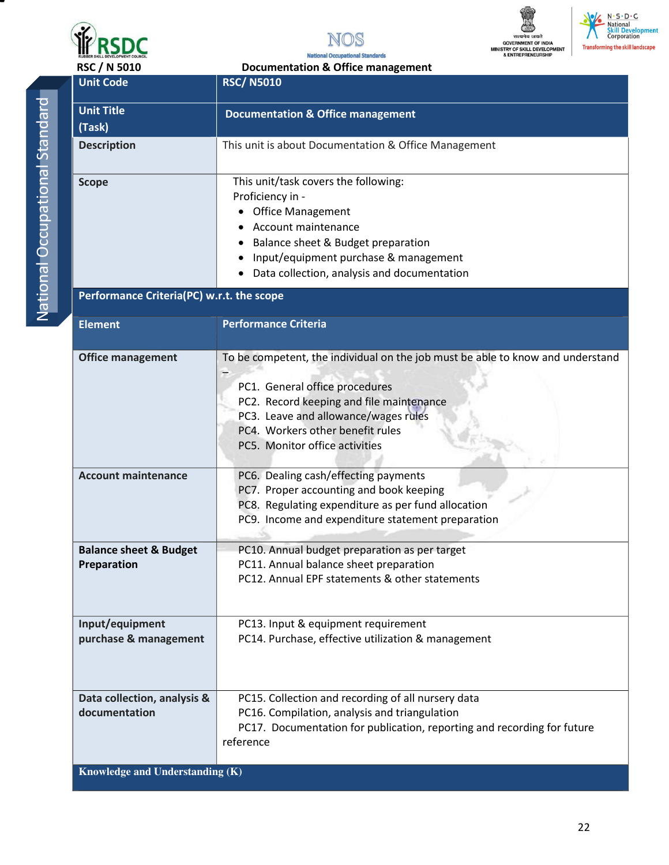







**National Occupational Standards** RSC / N 5010 Documentation & Office management

| Ì |
|---|
| í |
|   |
| I |
| Ì |
| I |
|   |
| I |
|   |
| I |
|   |
| I |
|   |
| j |
|   |
|   |
|   |
|   |
| I |
|   |
|   |
| l |
| l |
|   |
| C |
|   |
| I |
|   |
| I |
|   |
|   |
|   |
|   |
|   |
|   |

| <b>Unit Code</b>                                 | <b>RSC/N5010</b>                                                                                                                                                                                                                                                           |
|--------------------------------------------------|----------------------------------------------------------------------------------------------------------------------------------------------------------------------------------------------------------------------------------------------------------------------------|
| <b>Unit Title</b><br>(Task)                      | <b>Documentation &amp; Office management</b>                                                                                                                                                                                                                               |
| <b>Description</b>                               | This unit is about Documentation & Office Management                                                                                                                                                                                                                       |
| <b>Scope</b>                                     | This unit/task covers the following:<br>Proficiency in -<br><b>Office Management</b><br>Account maintenance<br>Balance sheet & Budget preparation<br>Input/equipment purchase & management<br>Data collection, analysis and documentation                                  |
| Performance Criteria(PC) w.r.t. the scope        |                                                                                                                                                                                                                                                                            |
| <b>Element</b>                                   | <b>Performance Criteria</b>                                                                                                                                                                                                                                                |
| <b>Office management</b>                         | To be competent, the individual on the job must be able to know and understand<br>PC1. General office procedures<br>PC2. Record keeping and file maintenance<br>PC3. Leave and allowance/wages rules<br>PC4. Workers other benefit rules<br>PC5. Monitor office activities |
| <b>Account maintenance</b>                       | PC6. Dealing cash/effecting payments<br>PC7. Proper accounting and book keeping<br>PC8. Regulating expenditure as per fund allocation<br>PC9. Income and expenditure statement preparation                                                                                 |
| <b>Balance sheet &amp; Budget</b><br>Preparation | PC10. Annual budget preparation as per target<br>PC11. Annual balance sheet preparation<br>PC12. Annual EPF statements & other statements                                                                                                                                  |
| Input/equipment<br>purchase & management         | PC13. Input & equipment requirement<br>PC14. Purchase, effective utilization & management                                                                                                                                                                                  |
| Data collection, analysis &<br>documentation     | PC15. Collection and recording of all nursery data<br>PC16. Compilation, analysis and triangulation<br>PC17. Documentation for publication, reporting and recording for future<br>reference                                                                                |
| Knowledge and Understanding (K)                  |                                                                                                                                                                                                                                                                            |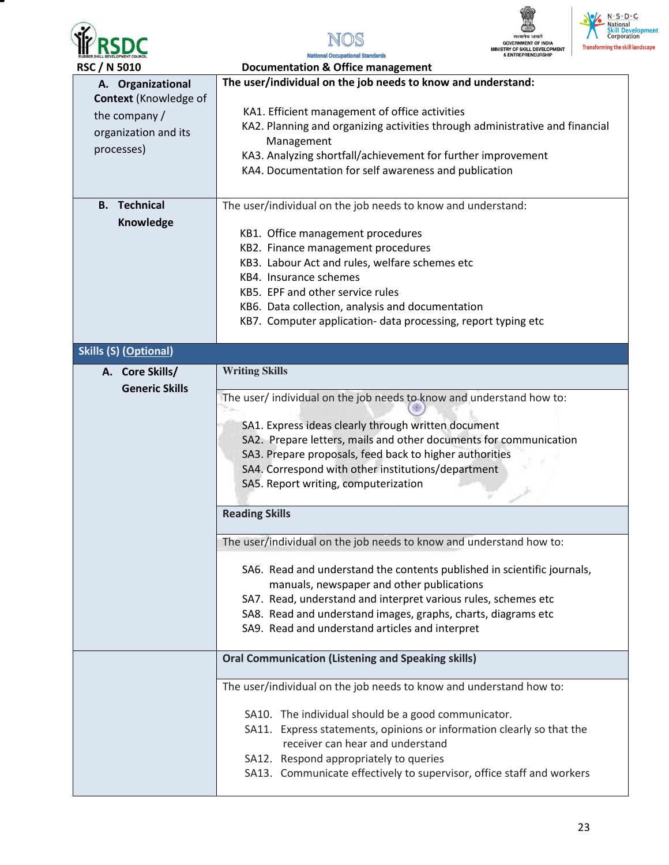

▀







 **RSC / N 5010 Documentation & Office management** 

| טוויטכ או לאכש               | Documentation & Office management                                            |  |
|------------------------------|------------------------------------------------------------------------------|--|
| A. Organizational            | The user/individual on the job needs to know and understand:                 |  |
| <b>Context</b> (Knowledge of | KA1. Efficient management of office activities                               |  |
| the company /                |                                                                              |  |
| organization and its         | KA2. Planning and organizing activities through administrative and financial |  |
| processes)                   | Management                                                                   |  |
|                              | KA3. Analyzing shortfall/achievement for further improvement                 |  |
|                              | KA4. Documentation for self awareness and publication                        |  |
|                              |                                                                              |  |
| <b>Technical</b><br>В.       | The user/individual on the job needs to know and understand:                 |  |
|                              |                                                                              |  |
| Knowledge                    | KB1. Office management procedures                                            |  |
|                              |                                                                              |  |
|                              | KB2. Finance management procedures                                           |  |
|                              | KB3. Labour Act and rules, welfare schemes etc                               |  |
|                              | KB4. Insurance schemes                                                       |  |
|                              | KB5. EPF and other service rules                                             |  |
|                              | KB6. Data collection, analysis and documentation                             |  |
|                              | KB7. Computer application- data processing, report typing etc                |  |
|                              |                                                                              |  |
| <b>Skills (S) (Optional)</b> |                                                                              |  |
| A. Core Skills/              | <b>Writing Skills</b>                                                        |  |
| <b>Generic Skills</b>        |                                                                              |  |
|                              | The user/ individual on the job needs to know and understand how to:         |  |
|                              |                                                                              |  |
|                              | SA1. Express ideas clearly through written document                          |  |
|                              | SA2. Prepare letters, mails and other documents for communication            |  |
|                              | SA3. Prepare proposals, feed back to higher authorities                      |  |
|                              | SA4. Correspond with other institutions/department                           |  |
|                              | SA5. Report writing, computerization                                         |  |
|                              |                                                                              |  |
|                              | <b>Reading Skills</b>                                                        |  |
|                              |                                                                              |  |
|                              | The user/individual on the job needs to know and understand how to:          |  |
|                              |                                                                              |  |
|                              | SA6. Read and understand the contents published in scientific journals,      |  |
|                              | manuals, newspaper and other publications                                    |  |
|                              | SA7. Read, understand and interpret various rules, schemes etc               |  |
|                              | SA8. Read and understand images, graphs, charts, diagrams etc                |  |
|                              | SA9. Read and understand articles and interpret                              |  |
|                              |                                                                              |  |
|                              | <b>Oral Communication (Listening and Speaking skills)</b>                    |  |
|                              | The user/individual on the job needs to know and understand how to:          |  |
|                              |                                                                              |  |
|                              | SA10. The individual should be a good communicator.                          |  |
|                              | SA11. Express statements, opinions or information clearly so that the        |  |
|                              | receiver can hear and understand                                             |  |
|                              | SA12. Respond appropriately to queries                                       |  |
|                              | SA13. Communicate effectively to supervisor, office staff and workers        |  |
|                              |                                                                              |  |
|                              |                                                                              |  |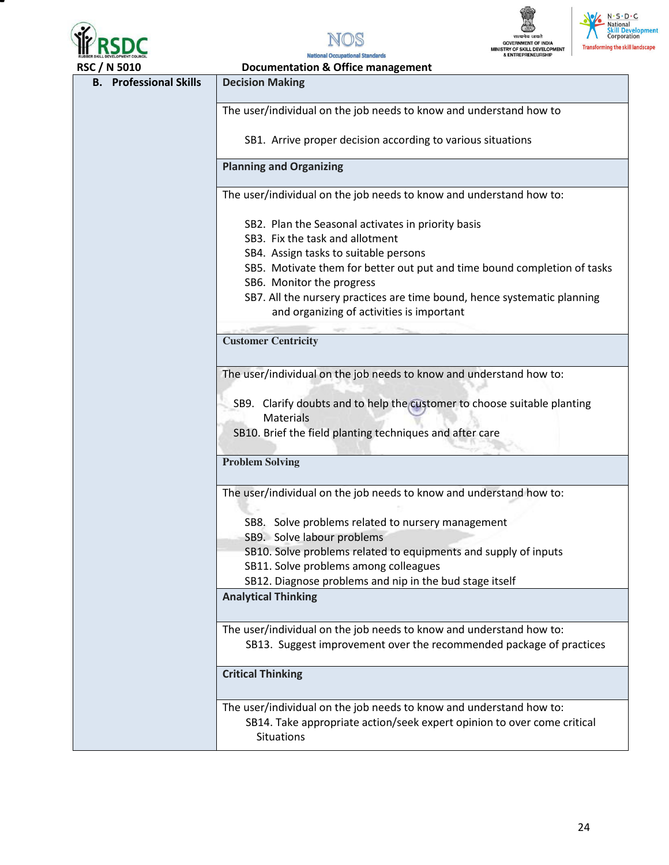







| <b>RSC / N 5010</b>           | <b>Documentation &amp; Office management</b>                                                                          |  |  |
|-------------------------------|-----------------------------------------------------------------------------------------------------------------------|--|--|
| <b>B.</b> Professional Skills | <b>Decision Making</b>                                                                                                |  |  |
|                               |                                                                                                                       |  |  |
|                               | The user/individual on the job needs to know and understand how to                                                    |  |  |
|                               | SB1. Arrive proper decision according to various situations                                                           |  |  |
|                               | <b>Planning and Organizing</b>                                                                                        |  |  |
|                               | The user/individual on the job needs to know and understand how to:                                                   |  |  |
|                               | SB2. Plan the Seasonal activates in priority basis                                                                    |  |  |
|                               | SB3. Fix the task and allotment                                                                                       |  |  |
|                               | SB4. Assign tasks to suitable persons                                                                                 |  |  |
|                               | SB5. Motivate them for better out put and time bound completion of tasks                                              |  |  |
|                               | SB6. Monitor the progress                                                                                             |  |  |
|                               | SB7. All the nursery practices are time bound, hence systematic planning<br>and organizing of activities is important |  |  |
|                               | <b>Customer Centricity</b>                                                                                            |  |  |
|                               |                                                                                                                       |  |  |
|                               | The user/individual on the job needs to know and understand how to:                                                   |  |  |
|                               |                                                                                                                       |  |  |
|                               | SB9. Clarify doubts and to help the customer to choose suitable planting                                              |  |  |
|                               | <b>Materials</b>                                                                                                      |  |  |
|                               | SB10. Brief the field planting techniques and after care                                                              |  |  |
|                               | <b>Problem Solving</b>                                                                                                |  |  |
|                               |                                                                                                                       |  |  |
|                               | The user/individual on the job needs to know and understand how to:                                                   |  |  |
|                               | SB8. Solve problems related to nursery management                                                                     |  |  |
|                               | SB9. Solve labour problems                                                                                            |  |  |
|                               | SB10. Solve problems related to equipments and supply of inputs                                                       |  |  |
|                               | SB11. Solve problems among colleagues                                                                                 |  |  |
|                               | SB12. Diagnose problems and nip in the bud stage itself                                                               |  |  |
|                               | <b>Analytical Thinking</b>                                                                                            |  |  |
|                               | The user/individual on the job needs to know and understand how to:                                                   |  |  |
|                               | SB13. Suggest improvement over the recommended package of practices                                                   |  |  |
|                               | <b>Critical Thinking</b>                                                                                              |  |  |
|                               | The user/individual on the job needs to know and understand how to:                                                   |  |  |
|                               | SB14. Take appropriate action/seek expert opinion to over come critical<br><b>Situations</b>                          |  |  |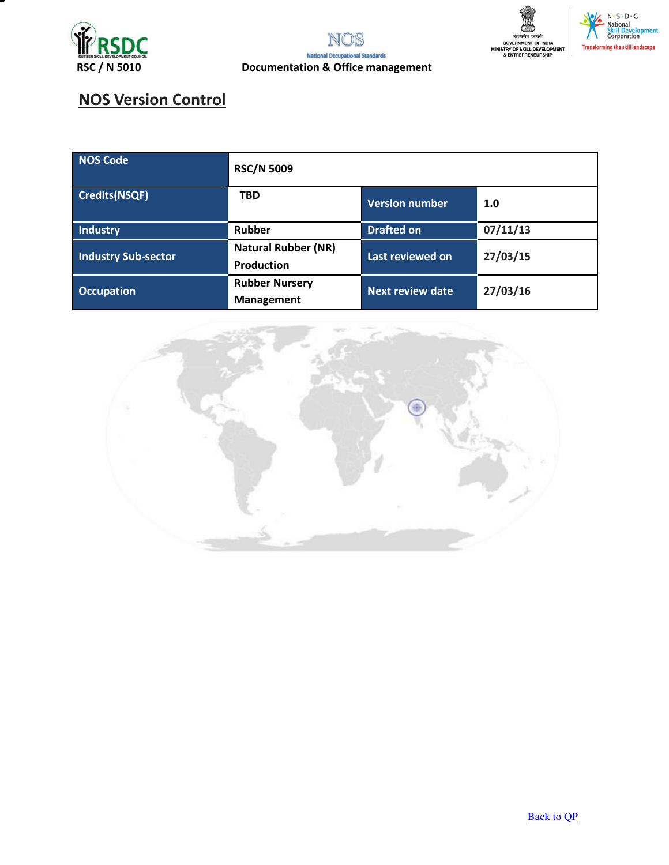





## **NOS Version Control**

| NOS Code                   | <b>RSC/N 5009</b>                               |                         |          |
|----------------------------|-------------------------------------------------|-------------------------|----------|
| Credits(NSQF)              | <b>TBD</b>                                      | <b>Version number</b>   | 1.0      |
| Industry                   | Rubber                                          | <b>Drafted on</b>       | 07/11/13 |
| <b>Industry Sub-sector</b> | <b>Natural Rubber (NR)</b><br><b>Production</b> | Last reviewed on        | 27/03/15 |
| <b>Occupation</b>          | <b>Rubber Nursery</b><br><b>Management</b>      | <b>Next review date</b> | 27/03/16 |



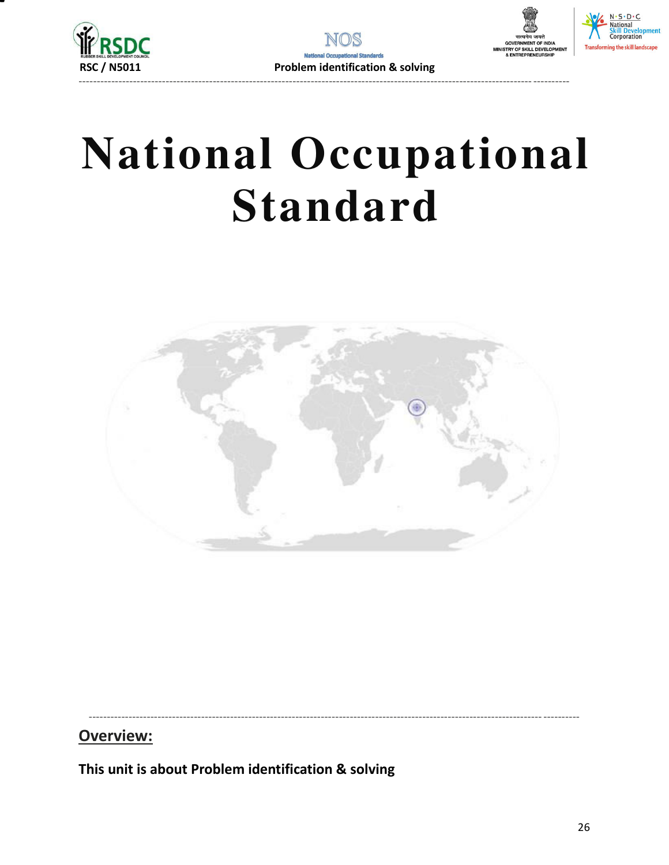





## **National Occupational Standard**



### Overview:

<span id="page-25-0"></span>This unit is about Problem identification & solving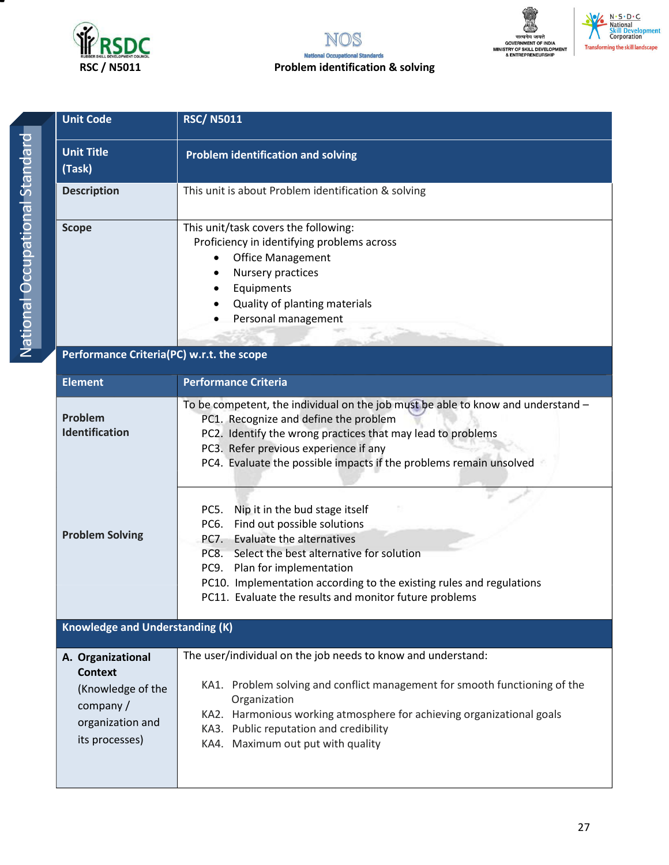

#### NOS **National Occupat Ional Standards RSC / N5011 Problem identification & solving**





| <b>Unit Code</b>            | <b>RSC/N5011</b>                                                                                                                                                                                                                    |
|-----------------------------|-------------------------------------------------------------------------------------------------------------------------------------------------------------------------------------------------------------------------------------|
| <b>Unit Title</b><br>(Task) | <b>Problem identification and solving</b>                                                                                                                                                                                           |
| <b>Description</b>          | This unit is about Problem identification & solving                                                                                                                                                                                 |
| <b>Scope</b>                | This unit/task covers the following:<br>Proficiency in identifying problems across<br><b>Office Management</b><br>Nursery practices<br>$\bullet$<br>Equipments<br>Quality of planting materials<br>$\bullet$<br>Personal management |

### **Performance Criteria(PC) w.r.t. the scope**

| <b>Element</b>                                                                                             | <b>Performance Criteria</b>                                                                                                                                                                                                                                                                                                                        |
|------------------------------------------------------------------------------------------------------------|----------------------------------------------------------------------------------------------------------------------------------------------------------------------------------------------------------------------------------------------------------------------------------------------------------------------------------------------------|
| Problem<br>Identification                                                                                  | To be competent, the individual on the job must be able to know and understand -<br>PC1. Recognize and define the problem<br>PC2. Identify the wrong practices that may lead to problems<br>PC3. Refer previous experience if any<br>PC4. Evaluate the possible impacts if the problems remain unsolved                                            |
| <b>Problem Solving</b>                                                                                     | Nip it in the bud stage itself<br>PC5.<br>Find out possible solutions<br>PC6.<br><b>Evaluate the alternatives</b><br>PC7.<br>Select the best alternative for solution<br>PC8.<br>Plan for implementation<br>PC9.<br>PC10. Implementation according to the existing rules and regulations<br>PC11. Evaluate the results and monitor future problems |
| <b>Knowledge and Understanding (K)</b>                                                                     |                                                                                                                                                                                                                                                                                                                                                    |
| A. Organizational<br><b>Context</b><br>(Knowledge of the<br>company/<br>organization and<br>its processes) | The user/individual on the job needs to know and understand:<br>KA1. Problem solving and conflict management for smooth functioning of the<br>Organization<br>KA2. Harmonious working atmosphere for achieving organizational goals<br>KA3. Public reputation and credibility<br>KA4. Maximum out put with quality                                 |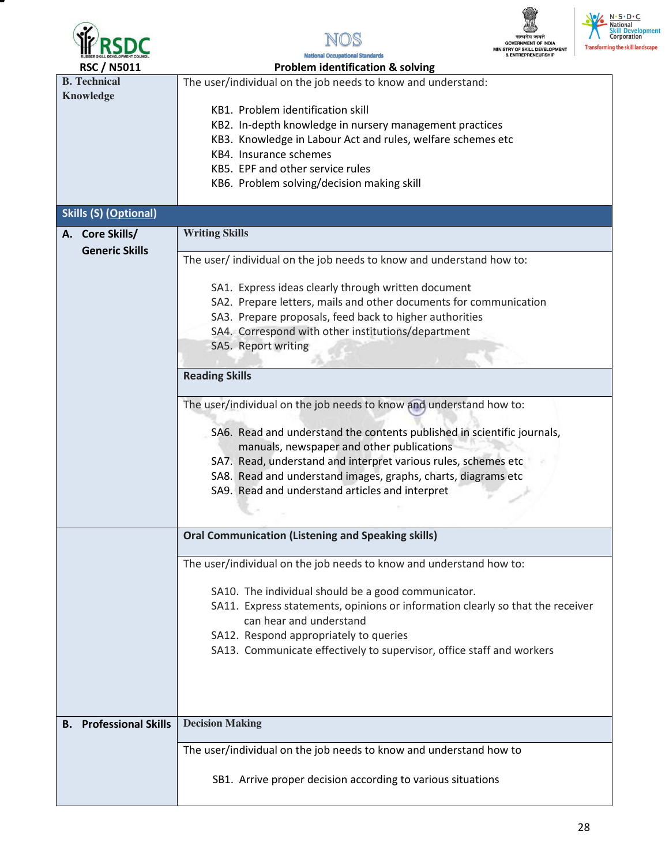







**National Occupational Standards** 

| <b>RSC / N5011</b>               | <b>Problem identification &amp; solving</b>                                    |
|----------------------------------|--------------------------------------------------------------------------------|
| <b>B.</b> Technical              | The user/individual on the job needs to know and understand:                   |
| <b>Knowledge</b>                 |                                                                                |
|                                  | KB1. Problem identification skill                                              |
|                                  | KB2. In-depth knowledge in nursery management practices                        |
|                                  | KB3. Knowledge in Labour Act and rules, welfare schemes etc                    |
|                                  | KB4. Insurance schemes                                                         |
|                                  | KB5. EPF and other service rules                                               |
|                                  | KB6. Problem solving/decision making skill                                     |
|                                  |                                                                                |
| <b>Skills (S) (Optional)</b>     |                                                                                |
|                                  |                                                                                |
| A. Core Skills/                  | <b>Writing Skills</b>                                                          |
| <b>Generic Skills</b>            | The user/individual on the job needs to know and understand how to:            |
|                                  |                                                                                |
|                                  | SA1. Express ideas clearly through written document                            |
|                                  | SA2. Prepare letters, mails and other documents for communication              |
|                                  |                                                                                |
|                                  | SA3. Prepare proposals, feed back to higher authorities                        |
|                                  | SA4. Correspond with other institutions/department                             |
|                                  | SA5. Report writing                                                            |
|                                  |                                                                                |
|                                  | <b>Reading Skills</b>                                                          |
|                                  | The user/individual on the job needs to know and understand how to:            |
|                                  |                                                                                |
|                                  | SA6. Read and understand the contents published in scientific journals,        |
|                                  | manuals, newspaper and other publications                                      |
|                                  |                                                                                |
|                                  | SA7. Read, understand and interpret various rules, schemes etc                 |
|                                  | SA8. Read and understand images, graphs, charts, diagrams etc                  |
|                                  | SA9. Read and understand articles and interpret                                |
|                                  |                                                                                |
|                                  |                                                                                |
|                                  | <b>Oral Communication (Listening and Speaking skills)</b>                      |
|                                  |                                                                                |
|                                  | The user/individual on the job needs to know and understand how to:            |
|                                  |                                                                                |
|                                  | SA10. The individual should be a good communicator.                            |
|                                  | SA11. Express statements, opinions or information clearly so that the receiver |
|                                  | can hear and understand                                                        |
|                                  | SA12. Respond appropriately to queries                                         |
|                                  | SA13. Communicate effectively to supervisor, office staff and workers          |
|                                  |                                                                                |
|                                  |                                                                                |
|                                  |                                                                                |
|                                  |                                                                                |
| <b>Professional Skills</b><br>В. | <b>Decision Making</b>                                                         |
|                                  |                                                                                |
|                                  | The user/individual on the job needs to know and understand how to             |
|                                  |                                                                                |
|                                  | SB1. Arrive proper decision according to various situations                    |
|                                  |                                                                                |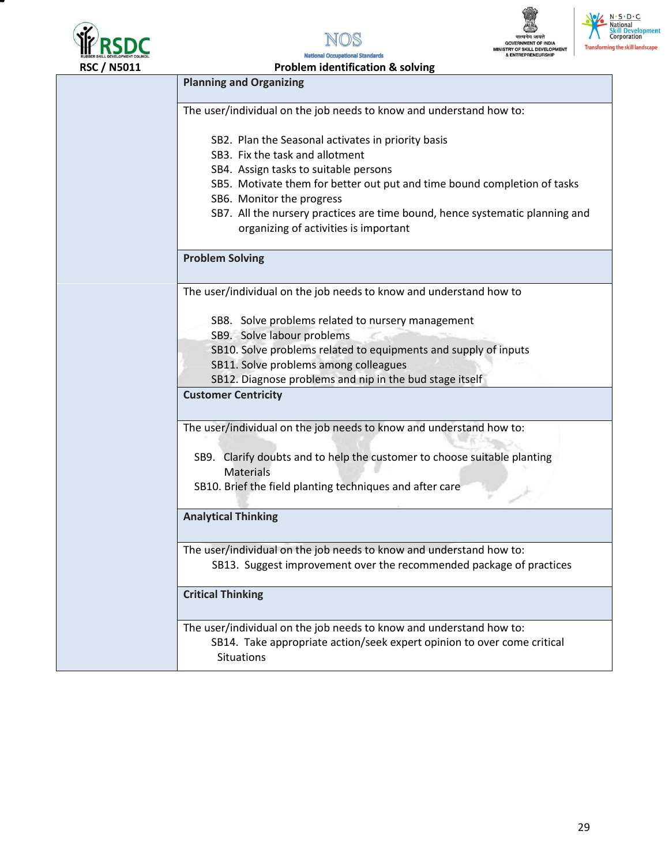

т







N.S.D.C.<br>National<br>Skill Development<br>Corporation **Transforming the skill landscape** 

| <b>RSC / N5011</b> | <b>Problem identification &amp; solving</b>                                                                                                                         |
|--------------------|---------------------------------------------------------------------------------------------------------------------------------------------------------------------|
|                    | <b>Planning and Organizing</b>                                                                                                                                      |
|                    | The user/individual on the job needs to know and understand how to:                                                                                                 |
|                    | SB2. Plan the Seasonal activates in priority basis                                                                                                                  |
|                    | SB3. Fix the task and allotment                                                                                                                                     |
|                    | SB4. Assign tasks to suitable persons                                                                                                                               |
|                    | SB5. Motivate them for better out put and time bound completion of tasks                                                                                            |
|                    | SB6. Monitor the progress                                                                                                                                           |
|                    | SB7. All the nursery practices are time bound, hence systematic planning and<br>organizing of activities is important                                               |
|                    | <b>Problem Solving</b>                                                                                                                                              |
|                    | The user/individual on the job needs to know and understand how to                                                                                                  |
|                    | SB8. Solve problems related to nursery management                                                                                                                   |
|                    | SB9. Solve labour problems                                                                                                                                          |
|                    | SB10. Solve problems related to equipments and supply of inputs<br>SB11. Solve problems among colleagues                                                            |
|                    | SB12. Diagnose problems and nip in the bud stage itself                                                                                                             |
|                    | <b>Customer Centricity</b>                                                                                                                                          |
|                    |                                                                                                                                                                     |
|                    | The user/individual on the job needs to know and understand how to:                                                                                                 |
|                    | SB9. Clarify doubts and to help the customer to choose suitable planting<br><b>Materials</b>                                                                        |
|                    | SB10. Brief the field planting techniques and after care                                                                                                            |
|                    | <b>Analytical Thinking</b>                                                                                                                                          |
|                    | The user/individual on the job needs to know and understand how to:<br>SB13. Suggest improvement over the recommended package of practices                          |
|                    | <b>Critical Thinking</b>                                                                                                                                            |
|                    | The user/individual on the job needs to know and understand how to:<br>SB14. Take appropriate action/seek expert opinion to over come critical<br><b>Situations</b> |
|                    |                                                                                                                                                                     |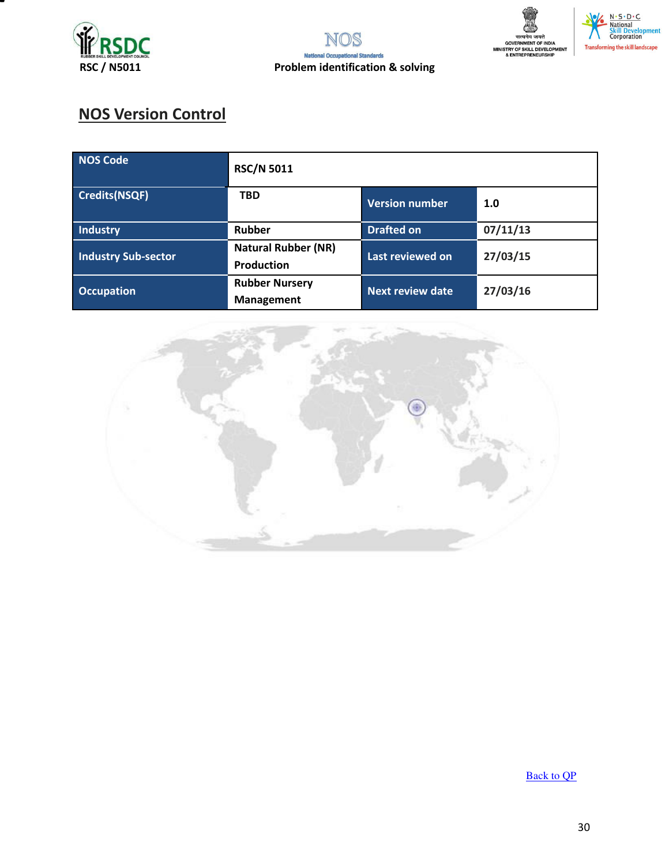





**tent** 

## **NOS Version Control**

| <b>NOS Code</b>            | <b>RSC/N 5011</b>                               |                         |          |
|----------------------------|-------------------------------------------------|-------------------------|----------|
| <b>Credits(NSQF)</b>       | <b>TBD</b>                                      | <b>Version number</b>   | 1.0      |
| Industry                   | <b>Rubber</b>                                   | <b>Drafted on</b>       | 07/11/13 |
| <b>Industry Sub-sector</b> | <b>Natural Rubber (NR)</b><br><b>Production</b> | Last reviewed on        | 27/03/15 |
| <b>Occupation</b>          | <b>Rubber Nursery</b><br>Management             | <b>Next review date</b> | 27/03/16 |



**[Back to QP](#page-1-0)**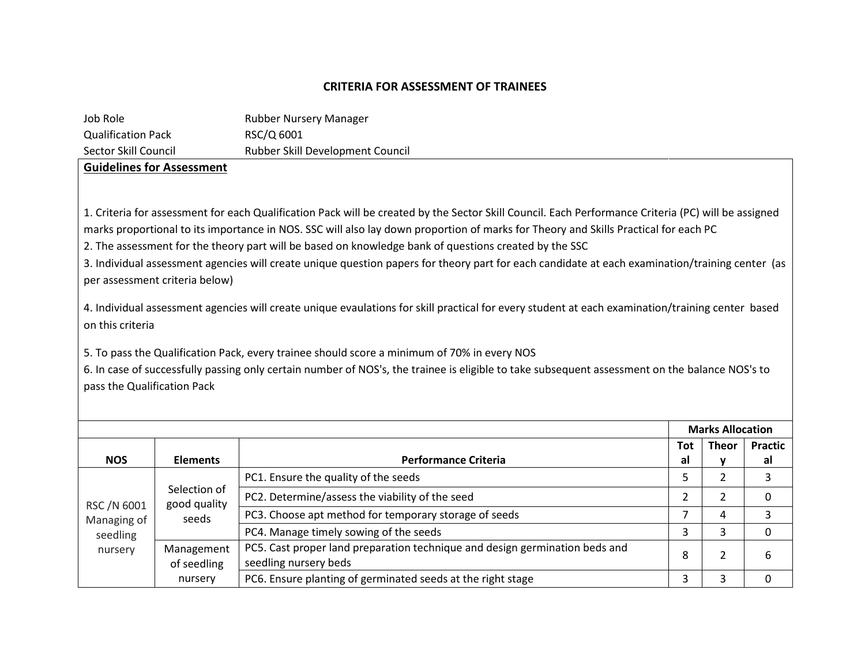#### **CRITERIA FOR ASSESSMENT OF TRAINEES**

| Job Role                           |                                  | Rubber Nursery Manager                                                                                                                                                                                                                                                                                                                                                                              |                |                         |                |
|------------------------------------|----------------------------------|-----------------------------------------------------------------------------------------------------------------------------------------------------------------------------------------------------------------------------------------------------------------------------------------------------------------------------------------------------------------------------------------------------|----------------|-------------------------|----------------|
| <b>Qualification Pack</b>          |                                  | RSC/Q 6001                                                                                                                                                                                                                                                                                                                                                                                          |                |                         |                |
| Sector Skill Council               |                                  | Rubber Skill Development Council                                                                                                                                                                                                                                                                                                                                                                    |                |                         |                |
|                                    | <b>Guidelines for Assessment</b> |                                                                                                                                                                                                                                                                                                                                                                                                     |                |                         |                |
|                                    |                                  | 1. Criteria for assessment for each Qualification Pack will be created by the Sector Skill Council. Each Performance Criteria (PC) will be assigned<br>marks proportional to its importance in NOS. SSC will also lay down proportion of marks for Theory and Skills Practical for each PC<br>2. The assessment for the theory part will be based on knowledge bank of questions created by the SSC |                |                         |                |
|                                    | per assessment criteria below)   | 3. Individual assessment agencies will create unique question papers for theory part for each candidate at each examination/training center (as                                                                                                                                                                                                                                                     |                |                         |                |
| on this criteria                   |                                  | 4. Individual assessment agencies will create unique evaulations for skill practical for every student at each examination/training center based                                                                                                                                                                                                                                                    |                |                         |                |
| pass the Qualification Pack        |                                  | 5. To pass the Qualification Pack, every trainee should score a minimum of 70% in every NOS<br>6. In case of successfully passing only certain number of NOS's, the trainee is eligible to take subsequent assessment on the balance NOS's to                                                                                                                                                       |                |                         |                |
|                                    |                                  |                                                                                                                                                                                                                                                                                                                                                                                                     |                | <b>Marks Allocation</b> |                |
|                                    |                                  |                                                                                                                                                                                                                                                                                                                                                                                                     | <b>Tot</b>     | <b>Theor</b>            | <b>Practic</b> |
| <b>NOS</b>                         | <b>Elements</b>                  | <b>Performance Criteria</b>                                                                                                                                                                                                                                                                                                                                                                         | al             | y                       | al             |
|                                    | Selection of                     | PC1. Ensure the quality of the seeds                                                                                                                                                                                                                                                                                                                                                                | 5              | $\overline{2}$          | 3              |
| RSC /N 6001                        | good quality                     | PC2. Determine/assess the viability of the seed                                                                                                                                                                                                                                                                                                                                                     | $\overline{2}$ | 2                       | $\mathbf{0}$   |
| Managing of<br>seedling<br>nursery | seeds                            | PC3. Choose apt method for temporary storage of seeds                                                                                                                                                                                                                                                                                                                                               | 7              | 4                       | 3              |
|                                    |                                  | PC4. Manage timely sowing of the seeds                                                                                                                                                                                                                                                                                                                                                              | 3              | 3                       | $\mathbf{0}$   |
|                                    | Management<br>of seedling        | PC5. Cast proper land preparation technique and design germination beds and<br>seedling nursery beds                                                                                                                                                                                                                                                                                                | 8              | $\overline{2}$          | 6              |
|                                    | nursery                          | PC6. Ensure planting of germinated seeds at the right stage                                                                                                                                                                                                                                                                                                                                         | 3              | 3                       | 0              |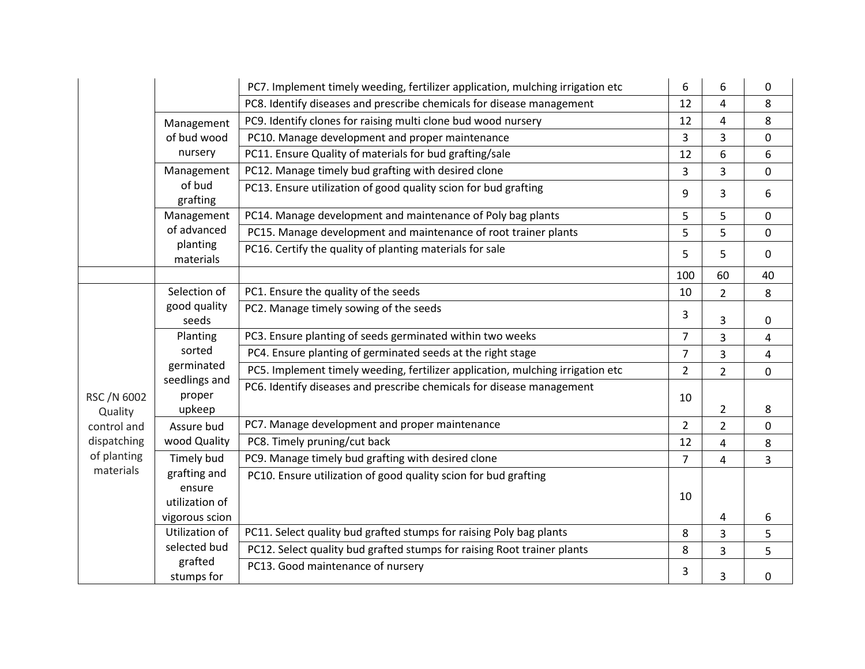|                        |                                   | PC7. Implement timely weeding, fertilizer application, mulching irrigation etc | 6              | 6              | 0                       |
|------------------------|-----------------------------------|--------------------------------------------------------------------------------|----------------|----------------|-------------------------|
|                        |                                   | PC8. Identify diseases and prescribe chemicals for disease management          | 12             | 4              | 8                       |
|                        | Management                        | PC9. Identify clones for raising multi clone bud wood nursery                  | 12             | $\overline{4}$ | 8                       |
|                        | of bud wood                       | PC10. Manage development and proper maintenance                                | 3              | 3              | $\mathbf 0$             |
|                        | nursery                           | PC11. Ensure Quality of materials for bud grafting/sale                        | 12             | 6              | 6                       |
|                        | Management                        | PC12. Manage timely bud grafting with desired clone                            | 3              | 3              | $\pmb{0}$               |
|                        | of bud<br>grafting                | PC13. Ensure utilization of good quality scion for bud grafting                | 9              | 3              | 6                       |
|                        | Management                        | PC14. Manage development and maintenance of Poly bag plants                    | 5              | 5              | $\mathbf 0$             |
|                        | of advanced                       | PC15. Manage development and maintenance of root trainer plants                | 5              | 5              | $\mathbf 0$             |
|                        | planting<br>materials             | PC16. Certify the quality of planting materials for sale                       | 5              | 5              | $\mathbf 0$             |
|                        |                                   |                                                                                | 100            | 60             | 40                      |
|                        | Selection of                      | PC1. Ensure the quality of the seeds                                           | 10             | $\overline{2}$ | $\bf 8$                 |
|                        | good quality<br>seeds             | PC2. Manage timely sowing of the seeds                                         | 3              | 3              | $\boldsymbol{0}$        |
|                        | Planting                          | PC3. Ensure planting of seeds germinated within two weeks                      | $\overline{7}$ | 3              | $\overline{4}$          |
|                        | sorted                            | PC4. Ensure planting of germinated seeds at the right stage                    | $\overline{7}$ | 3              | $\overline{\mathbf{4}}$ |
|                        | germinated                        | PC5. Implement timely weeding, fertilizer application, mulching irrigation etc | $\overline{2}$ | $\overline{2}$ | $\mathbf 0$             |
| RSC /N 6002<br>Quality | seedlings and<br>proper<br>upkeep | PC6. Identify diseases and prescribe chemicals for disease management          | 10             | $\overline{2}$ | 8                       |
| control and            | Assure bud                        | PC7. Manage development and proper maintenance                                 | $\overline{2}$ | $\overline{2}$ | $\mathbf 0$             |
| dispatching            | wood Quality                      | PC8. Timely pruning/cut back                                                   | 12             | $\pmb{4}$      | $\,8\,$                 |
| of planting            | Timely bud                        | PC9. Manage timely bud grafting with desired clone                             | $\overline{7}$ | 4              | 3                       |
| materials              | grafting and                      | PC10. Ensure utilization of good quality scion for bud grafting                |                |                |                         |
|                        | ensure                            |                                                                                | 10             |                |                         |
|                        | utilization of                    |                                                                                |                |                |                         |
|                        | vigorous scion                    |                                                                                |                | $\overline{4}$ | 6                       |
|                        | Utilization of                    | PC11. Select quality bud grafted stumps for raising Poly bag plants            | 8              | 3              | 5                       |
|                        | selected bud                      | PC12. Select quality bud grafted stumps for raising Root trainer plants        | 8              | 3              | 5                       |
|                        | grafted<br>stumps for             | PC13. Good maintenance of nursery                                              | 3              | 3              | 0                       |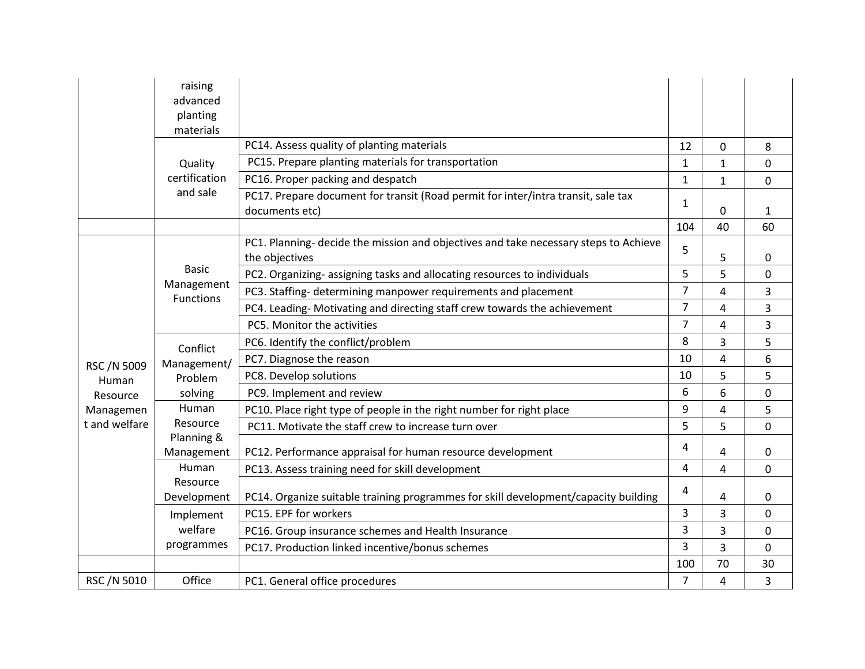|                            | raising<br>advanced<br>planting |                                                                                                        |                |              |              |
|----------------------------|---------------------------------|--------------------------------------------------------------------------------------------------------|----------------|--------------|--------------|
|                            | materials                       |                                                                                                        |                |              |              |
|                            |                                 | PC14. Assess quality of planting materials                                                             | 12             | 0            | 8            |
|                            | Quality                         | PC15. Prepare planting materials for transportation                                                    | $\mathbf{1}$   | $\mathbf{1}$ | $\mathbf 0$  |
|                            | certification                   | PC16. Proper packing and despatch                                                                      | 1              | $\mathbf{1}$ | 0            |
|                            | and sale                        | PC17. Prepare document for transit (Road permit for inter/intra transit, sale tax<br>documents etc)    | 1              | 0            | $\mathbf{1}$ |
|                            |                                 |                                                                                                        | 104            | 40           | 60           |
|                            |                                 | PC1. Planning- decide the mission and objectives and take necessary steps to Achieve<br>the objectives | 5              | 5            | 0            |
|                            | <b>Basic</b>                    | PC2. Organizing-assigning tasks and allocating resources to individuals                                | 5              | 5            | $\mathbf 0$  |
|                            | Management<br><b>Functions</b>  | PC3. Staffing- determining manpower requirements and placement                                         | $\overline{7}$ | 4            | 3            |
|                            |                                 | PC4. Leading- Motivating and directing staff crew towards the achievement                              | $\overline{7}$ | 4            | 3            |
|                            |                                 | PC5. Monitor the activities                                                                            | $\overline{7}$ | 4            | 3            |
|                            | Conflict<br>Management/         | PC6. Identify the conflict/problem                                                                     | 8              | 3            | 5            |
| RSC /N 5009<br>Human       |                                 | PC7. Diagnose the reason                                                                               | 10             | 4            | 6            |
|                            | Problem                         | PC8. Develop solutions                                                                                 | 10             | 5            | 5            |
| Resource                   | solving                         | PC9. Implement and review                                                                              | 6              | 6            | $\pmb{0}$    |
| Managemen<br>t and welfare | Human                           | PC10. Place right type of people in the right number for right place                                   | 9              | 4            | 5            |
|                            | Resource                        | PC11. Motivate the staff crew to increase turn over                                                    | 5              | 5            | $\mathbf 0$  |
|                            | Planning &<br>Management        | PC12. Performance appraisal for human resource development                                             | 4              | 4            | $\mathbf 0$  |
|                            | Human                           | PC13. Assess training need for skill development                                                       | 4              | 4            | $\mathbf 0$  |
|                            | Resource<br>Development         | PC14. Organize suitable training programmes for skill development/capacity building                    | 4              | 4            | 0            |
|                            | Implement                       | PC15. EPF for workers                                                                                  | 3              | 3            | $\mathbf 0$  |
|                            | welfare                         | PC16. Group insurance schemes and Health Insurance                                                     | 3              | 3            | $\pmb{0}$    |
|                            | programmes                      | PC17. Production linked incentive/bonus schemes                                                        | 3              | 3            | $\mathbf 0$  |
|                            |                                 |                                                                                                        | 100            | 70           | 30           |
| RSC /N 5010                | Office                          | PC1. General office procedures                                                                         | 7              | 4            | 3            |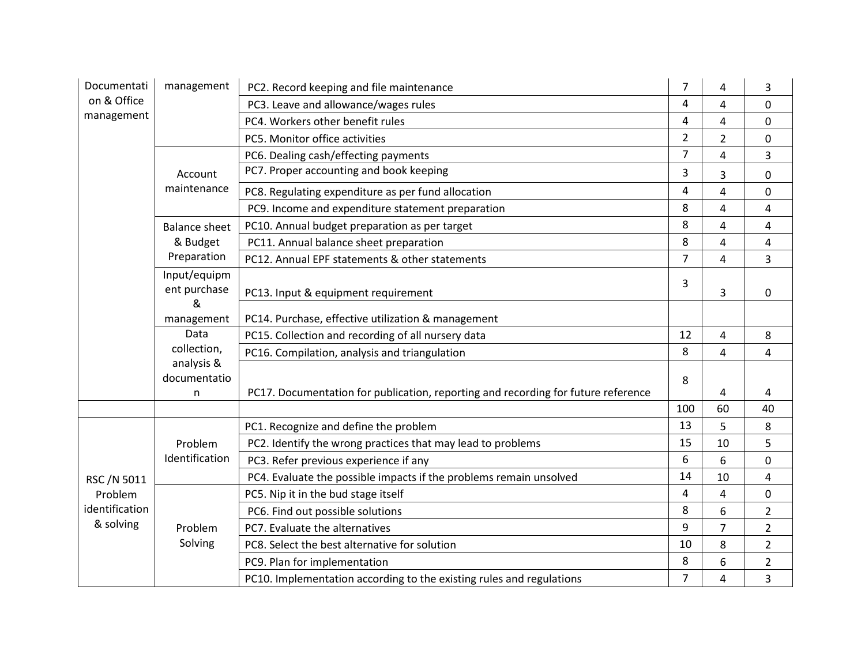| Documentati                              | management                   | PC2. Record keeping and file maintenance                                          | $\overline{7}$ | 4              | 3              |
|------------------------------------------|------------------------------|-----------------------------------------------------------------------------------|----------------|----------------|----------------|
| on & Office                              |                              | PC3. Leave and allowance/wages rules                                              | 4              | 4              | $\mathbf 0$    |
| management                               |                              | PC4. Workers other benefit rules                                                  | 4              | 4              | 0              |
|                                          |                              | PC5. Monitor office activities                                                    | $\overline{2}$ | $\overline{2}$ | $\mathbf 0$    |
|                                          |                              | PC6. Dealing cash/effecting payments                                              | 7              | 4              | 3              |
|                                          | Account                      | PC7. Proper accounting and book keeping                                           | 3              | 3              | 0              |
|                                          | maintenance                  | PC8. Regulating expenditure as per fund allocation                                | 4              | 4              | $\mathbf 0$    |
|                                          |                              | PC9. Income and expenditure statement preparation                                 | 8              | 4              | 4              |
|                                          | <b>Balance sheet</b>         | PC10. Annual budget preparation as per target                                     | 8              | $\overline{4}$ | 4              |
|                                          | & Budget                     | PC11. Annual balance sheet preparation                                            | 8              | 4              | $\overline{4}$ |
|                                          | Preparation                  | PC12. Annual EPF statements & other statements                                    | $\overline{7}$ | 4              | 3              |
|                                          | Input/equipm<br>ent purchase | PC13. Input & equipment requirement                                               | 3              | 3              | 0              |
|                                          | &<br>management              | PC14. Purchase, effective utilization & management                                |                |                |                |
|                                          | Data                         | PC15. Collection and recording of all nursery data                                | 12             | 4              | 8              |
|                                          | collection,                  | PC16. Compilation, analysis and triangulation                                     | 8              | 4              | 4              |
|                                          | analysis &<br>documentatio   |                                                                                   | 8              |                |                |
|                                          | n                            | PC17. Documentation for publication, reporting and recording for future reference |                | 4              | 4              |
|                                          |                              |                                                                                   | 100            | 60             | 40             |
|                                          |                              | PC1. Recognize and define the problem                                             | 13             | 5              | 8              |
|                                          | Problem                      | PC2. Identify the wrong practices that may lead to problems                       | 15             | 10             | 5              |
|                                          | Identification               | PC3. Refer previous experience if any                                             | 6              | 6              | $\mathbf 0$    |
| RSC /N 5011<br>Problem<br>identification |                              | PC4. Evaluate the possible impacts if the problems remain unsolved                | 14             | 10             | $\overline{4}$ |
|                                          |                              | PC5. Nip it in the bud stage itself                                               | 4              | 4              | $\mathbf 0$    |
|                                          |                              | PC6. Find out possible solutions                                                  | 8              | 6              | $\overline{2}$ |
| & solving                                | Problem                      | PC7. Evaluate the alternatives                                                    | 9              | $\overline{7}$ | $\overline{2}$ |
|                                          | Solving                      | PC8. Select the best alternative for solution                                     | 10             | 8              | $\overline{2}$ |
|                                          |                              | PC9. Plan for implementation                                                      | 8              | 6              | $\overline{2}$ |
|                                          |                              | PC10. Implementation according to the existing rules and regulations              | 7              | 4              | 3              |